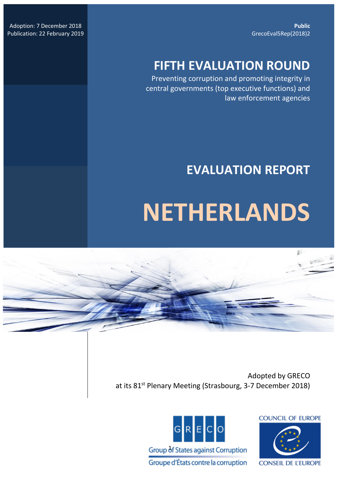**Public** GrecoEval5Rep(2018)2

Adoption: 7 December 2018 Publication: 22 February 2019

## **FIFTH EVALUATION ROUND**

Preventing corruption and promoting integrity in central governments (top executive functions) and law enforcement agencies

## **EVALUATION REPORT**

# **NETHERLANDS**

Adopted by GRECO at its 81<sup>st</sup> Plenary Meeting (Strasbourg, 3-7 December 2018)



**COUNCIL OF EUROPE** 

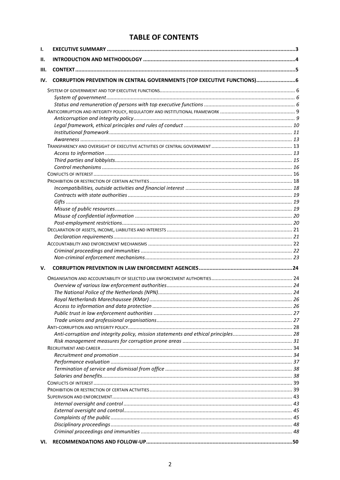### **TABLE OF CONTENTS**

| ı.  |                                                                          |  |
|-----|--------------------------------------------------------------------------|--|
| Н.  |                                                                          |  |
| Ш.  |                                                                          |  |
| IV. | CORRUPTION PREVENTION IN CENTRAL GOVERNMENTS (TOP EXECUTIVE FUNCTIONS) 6 |  |
|     |                                                                          |  |
|     |                                                                          |  |
|     |                                                                          |  |
|     |                                                                          |  |
|     |                                                                          |  |
|     |                                                                          |  |
|     |                                                                          |  |
|     |                                                                          |  |
|     |                                                                          |  |
|     |                                                                          |  |
|     |                                                                          |  |
|     |                                                                          |  |
|     |                                                                          |  |
|     |                                                                          |  |
|     |                                                                          |  |
|     |                                                                          |  |
|     |                                                                          |  |
|     |                                                                          |  |
|     |                                                                          |  |
|     |                                                                          |  |
|     |                                                                          |  |
|     |                                                                          |  |
|     |                                                                          |  |
|     |                                                                          |  |
| v.  |                                                                          |  |
|     |                                                                          |  |
|     |                                                                          |  |
|     |                                                                          |  |
|     |                                                                          |  |
|     |                                                                          |  |
|     |                                                                          |  |
|     |                                                                          |  |
|     |                                                                          |  |
|     |                                                                          |  |
|     |                                                                          |  |
|     |                                                                          |  |
|     |                                                                          |  |
|     |                                                                          |  |
|     |                                                                          |  |
|     |                                                                          |  |
|     |                                                                          |  |
|     |                                                                          |  |
|     |                                                                          |  |
|     |                                                                          |  |
|     |                                                                          |  |
|     |                                                                          |  |
|     |                                                                          |  |
|     |                                                                          |  |
| VI. |                                                                          |  |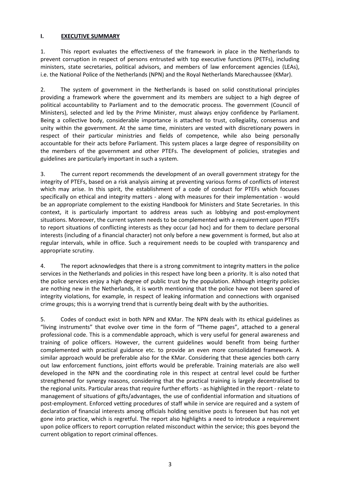#### <span id="page-2-0"></span>**I. EXECUTIVE SUMMARY**

1. This report evaluates the effectiveness of the framework in place in the Netherlands to prevent corruption in respect of persons entrusted with top executive functions (PETFs), including ministers, state secretaries, political advisors, and members of law enforcement agencies (LEAs), i.e. the National Police of the Netherlands (NPN) and the Royal Netherlands Marechaussee (KMar).

2. The system of government in the Netherlands is based on solid constitutional principles providing a framework where the government and its members are subject to a high degree of political accountability to Parliament and to the democratic process. The government (Council of Ministers), selected and led by the Prime Minister, must always enjoy confidence by Parliament. Being a collective body, considerable importance is attached to trust, collegiality, consensus and unity within the government. At the same time, ministers are vested with discretionary powers in respect of their particular ministries and fields of competence, while also being personally accountable for their acts before Parliament. This system places a large degree of responsibility on the members of the government and other PTEFs. The development of policies, strategies and guidelines are particularly important in such a system.

3. The current report recommends the development of an overall government strategy for the integrity of PTEFs, based on a risk analysis aiming at preventing various forms of conflicts of interest which may arise. In this spirit, the establishment of a code of conduct for PTEFs which focuses specifically on ethical and integrity matters - along with measures for their implementation - would be an appropriate complement to the existing Handbook for Ministers and State Secretaries. In this context, it is particularly important to address areas such as lobbying and post-employment situations. Moreover, the current system needs to be complemented with a requirement upon PTEFs to report situations of conflicting interests as they occur (ad hoc) and for them to declare personal interests (including of a financial character) not only before a new government is formed, but also at regular intervals, while in office. Such a requirement needs to be coupled with transparency and appropriate scrutiny.

4. The report acknowledges that there is a strong commitment to integrity matters in the police services in the Netherlands and policies in this respect have long been a priority. It is also noted that the police services enjoy a high degree of public trust by the population. Although integrity policies are nothing new in the Netherlands, it is worth mentioning that the police have not been spared of integrity violations, for example, in respect of leaking information and connections with organised crime groups; this is a worrying trend that is currently being dealt with by the authorities.

5. Codes of conduct exist in both NPN and KMar. The NPN deals with its ethical guidelines as "living instruments" that evolve over time in the form of "Theme pages", attached to a general professional code. This is a commendable approach, which is very useful for general awareness and training of police officers. However, the current guidelines would benefit from being further complemented with practical guidance etc. to provide an even more consolidated framework. A similar approach would be preferable also for the KMar. Considering that these agencies both carry out law enforcement functions, joint efforts would be preferable. Training materials are also well developed in the NPN and the coordinating role in this respect at central level could be further strengthened for synergy reasons, considering that the practical training is largely decentralised to the regional units. Particular areas that require further efforts - as highlighted in the report - relate to management of situations of gifts/advantages, the use of confidential information and situations of post-employment. Enforced vetting procedures of staff while in service are required and a system of declaration of financial interests among officials holding sensitive posts is foreseen but has not yet gone into practice, which is regretful. The report also highlights a need to introduce a requirement upon police officers to report corruption related misconduct within the service; this goes beyond the current obligation to report criminal offences.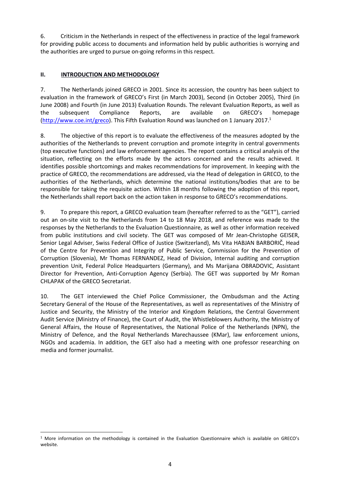6. Criticism in the Netherlands in respect of the effectiveness in practice of the legal framework for providing public access to documents and information held by public authorities is worrying and the authorities are urged to pursue on-going reforms in this respect.

#### <span id="page-3-0"></span>**II. INTRODUCTION AND METHODOLOGY**

7. The Netherlands joined GRECO in 2001. Since its accession, the country has been subject to evaluation in the framework of GRECO's First (in March 2003), Second (in October 2005), Third (in June 2008) and Fourth (in June 2013) Evaluation Rounds. The relevant Evaluation Reports, as well as the subsequent Compliance Reports, are available on GRECO's homepage [\(http://www.coe.int/greco\)](http://www.coe.int/greco). This Fifth Evaluation Round was launched on 1 January 2017.<sup>1</sup>

8. The objective of this report is to evaluate the effectiveness of the measures adopted by the authorities of the Netherlands to prevent corruption and promote integrity in central governments (top executive functions) and law enforcement agencies. The report contains a critical analysis of the situation, reflecting on the efforts made by the actors concerned and the results achieved. It identifies possible shortcomings and makes recommendations for improvement. In keeping with the practice of GRECO, the recommendations are addressed, via the Head of delegation in GRECO, to the authorities of the Netherlands, which determine the national institutions/bodies that are to be responsible for taking the requisite action. Within 18 months following the adoption of this report, the Netherlands shall report back on the action taken in response to GRECO's recommendations.

9. To prepare this report, a GRECO evaluation team (hereafter referred to as the "GET"), carried out an on-site visit to the Netherlands from 14 to 18 May 2018, and reference was made to the responses by the Netherlands to the Evaluation Questionnaire, as well as other information received from public institutions and civil society. The GET was composed of Mr Jean-Christophe GEISER, Senior Legal Adviser, Swiss Federal Office of Justice (Switzerland), Ms Vita HABJAN BARBORIČ, Head of the Centre for Prevention and Integrity of Public Service, Commission for the Prevention of Corruption (Slovenia), Mr Thomas FERNANDEZ, Head of Division, Internal auditing and corruption prevention Unit, Federal Police Headquarters (Germany), and Ms Marijana OBRADOVIC, Assistant Director for Prevention, Anti-Corruption Agency (Serbia). The GET was supported by Mr Roman CHLAPAK of the GRECO Secretariat.

10. The GET interviewed the Chief Police Commissioner, the Ombudsman and the Acting Secretary General of the House of the Representatives, as well as representatives of the Ministry of Justice and Security, the Ministry of the Interior and Kingdom Relations, the Central Government Audit Service (Ministry of Finance), the Court of Audit, the Whistleblowers Authority, the Ministry of General Affairs, the House of Representatives, the National Police of the Netherlands (NPN), the Ministry of Defence, and the Royal Netherlands Marechaussee (KMar), law enforcement unions, NGOs and academia. In addition, the GET also had a meeting with one professor researching on media and former journalist.

 $\overline{\phantom{a}}$ 

<sup>1</sup> More information on the methodology is contained in the Evaluation Questionnaire which is available on GRECO's website.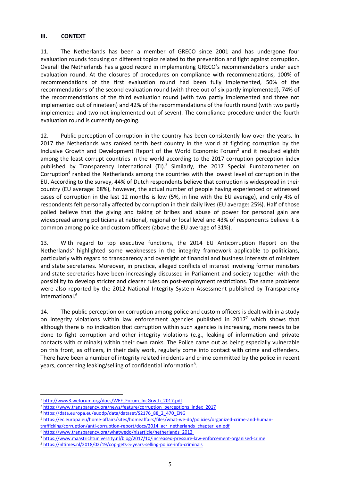#### <span id="page-4-0"></span>**III. CONTEXT**

11. The Netherlands has been a member of GRECO since 2001 and has undergone four evaluation rounds focusing on different topics related to the prevention and fight against corruption. Overall the Netherlands has a good record in implementing GRECO's recommendations under each evaluation round. At the closures of procedures on compliance with recommendations, 100% of recommendations of the first evaluation round had been fully implemented, 50% of the recommendations of the second evaluation round (with three out of six partly implemented), 74% of the recommendations of the third evaluation round (with two partly implemented and three not implemented out of nineteen) and 42% of the recommendations of the fourth round (with two partly implemented and two not implemented out of seven). The compliance procedure under the fourth evaluation round is currently on-going.

12. Public perception of corruption in the country has been consistently low over the years. In 2017 the Netherlands was ranked tenth best country in the world at fighting corruption by the Inclusive Growth and Development Report of the World Economic Forum<sup>2</sup> and it resulted eighth among the least corrupt countries in the world according to the 2017 corruption perception index published by Transparency International (TI).<sup>3</sup> Similarly, the 2017 Special Eurobarometer on Corruption<sup>4</sup> ranked the Netherlands among the countries with the lowest level of corruption in the EU. According to the survey, 44% of Dutch respondents believe that corruption is widespread in their country (EU average: 68%), however, the actual number of people having experienced or witnessed cases of corruption in the last 12 months is low (5%, in line with the EU average), and only 4% of respondents felt personally affected by corruption in their daily lives (EU average: 25%). Half of those polled believe that the giving and taking of bribes and abuse of power for personal gain are widespread among politicians at national, regional or local level and 43% of respondents believe it is common among police and custom officers (above the EU average of 31%).

13. With regard to top executive functions, the 2014 EU Anticorruption Report on the Netherlands<sup>5</sup> highlighted some weaknesses in the integrity framework applicable to politicians, particularly with regard to transparency and oversight of financial and business interests of ministers and state secretaries. Moreover, in practice, alleged conflicts of interest involving former ministers and state secretaries have been increasingly discussed in Parliament and society together with the possibility to develop stricter and clearer rules on post-employment restrictions. The same problems were also reported by the 2012 National Integrity System Assessment published by Transparency International.<sup>6</sup>

14. The public perception on corruption among police and custom officers is dealt with in a study on integrity violations within law enforcement agencies published in 2017<sup>7</sup> which shows that although there is no indication that corruption within such agencies is increasing, more needs to be done to fight corruption and other integrity violations (e.g., leaking of information and private contacts with criminals) within their own ranks. The Police came out as being especially vulnerable on this front, as officers, in their daily work, regularly come into contact with crime and offenders. There have been a number of integrity related incidents and crime committed by the police in recent years, concerning leaking/selling of confidential information<sup>8</sup>.

<span id="page-4-1"></span> $\overline{\phantom{a}}$ 

<sup>2</sup> [http://www3.weforum.org/docs/WEF\\_Forum\\_IncGrwth\\_2017.pdf](http://www3.weforum.org/docs/WEF_Forum_IncGrwth_2017.pdf)

<sup>&</sup>lt;sup>3</sup> [https://www.transparency.org/news/feature/corruption\\_perceptions\\_index\\_2017](https://www.transparency.org/news/feature/corruption_perceptions_index_2017)

<sup>4</sup> [https://data.europa.eu/euodp/data/dataset/S2176\\_88\\_2\\_470\\_ENG](https://data.europa.eu/euodp/data/dataset/S2176_88_2_470_ENG)

<sup>5</sup> [https://ec.europa.eu/home-affairs/sites/homeaffairs/files/what-we-do/policies/organized-crime-and-human](https://ec.europa.eu/home-affairs/sites/homeaffairs/files/what-we-do/policies/organized-crime-and-human-trafficking/corruption/anti-corruption-report/docs/2014_acr_netherlands_chapter_en.pdf)[trafficking/corruption/anti-corruption-report/docs/2014\\_acr\\_netherlands\\_chapter\\_en.pdf](https://ec.europa.eu/home-affairs/sites/homeaffairs/files/what-we-do/policies/organized-crime-and-human-trafficking/corruption/anti-corruption-report/docs/2014_acr_netherlands_chapter_en.pdf)

<sup>6</sup> [https://www.transparency.org/whatwedo/nisarticle/netherlands\\_2012](https://www.transparency.org/whatwedo/nisarticle/netherlands_2012)

<sup>7</sup> <https://www.maastrichtuniversity.nl/blog/2017/10/increased-pressure-law-enforcement-organised-crime>

<sup>8</sup> <https://nltimes.nl/2018/02/19/cop-gets-5-years-selling-police-info-criminals>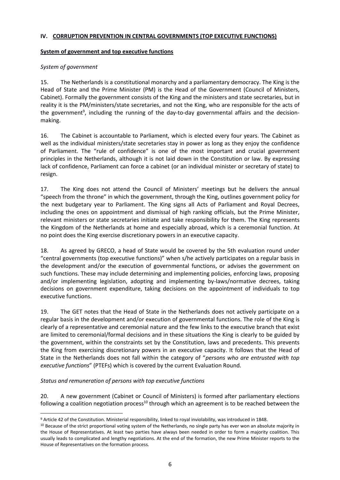#### **IV. CORRUPTION PREVENTION IN CENTRAL GOVERNMENTS (TOP EXECUTIVE FUNCTIONS)**

#### <span id="page-5-0"></span>**System of government and top executive functions**

#### <span id="page-5-1"></span>*System of government*

15. The Netherlands is a constitutional monarchy and a parliamentary democracy. The King is the Head of State and the Prime Minister (PM) is the Head of the Government (Council of Ministers, Cabinet). Formally the government consists of the King and the ministers and state secretaries, but in reality it is the PM/ministers/state secretaries, and not the King, who are responsible for the acts of the government<sup>9</sup>, including the running of the day-to-day governmental affairs and the decisionmaking.

16. The Cabinet is accountable to Parliament, which is elected every four years. The Cabinet as well as the individual ministers/state secretaries stay in power as long as they enjoy the confidence of Parliament. The "rule of confidence" is one of the most important and crucial government principles in the Netherlands, although it is not laid down in the Constitution or law. By expressing lack of confidence, Parliament can force a cabinet (or an individual minister or secretary of state) to resign.

17. The King does not attend the Council of Ministers' meetings but he delivers the annual "speech from the throne" in which the government, through the King, outlines government policy for the next budgetary year to Parliament. The King signs all Acts of Parliament and Royal Decrees, including the ones on appointment and dismissal of high ranking officials, but the Prime Minister, relevant ministers or state secretaries initiate and take responsibility for them. The King represents the Kingdom of the Netherlands at home and especially abroad, which is a ceremonial function. At no point does the King exercise discretionary powers in an executive capacity.

18. As agreed by GRECO, a head of State would be covered by the 5th evaluation round under "central governments (top executive functions)" when s/he actively participates on a regular basis in the development and/or the execution of governmental functions, or advises the government on such functions. These may include determining and implementing policies, enforcing laws, proposing and/or implementing legislation, adopting and implementing by-laws/normative decrees, taking decisions on government expenditure, taking decisions on the appointment of individuals to top executive functions.

19. The GET notes that the Head of State in the Netherlands does not actively participate on a regular basis in the development and/or execution of governmental functions. The role of the King is clearly of a representative and ceremonial nature and the few links to the executive branch that exist are limited to ceremonial/formal decisions and in these situations the King is clearly to be guided by the government, within the constraints set by the Constitution, laws and precedents. This prevents the King from exercising discretionary powers in an executive capacity. It follows that the Head of State in the Netherlands does not fall within the category of "*persons who are entrusted with top executive functions*" (PTEFs) which is covered by the current Evaluation Round.

#### <span id="page-5-2"></span>*Status and remuneration of persons with top executive functions*

 $\overline{\phantom{a}}$ 

20. A new government (Cabinet or Council of Ministers) is formed after parliamentary elections following a coalition negotiation process<sup>10</sup> through which an agreement is to be reached between the

<sup>9</sup> Article 42 of the Constitution. Ministerial responsibility, linked to royal inviolability, was introduced in 1848.

<sup>&</sup>lt;sup>10</sup> Because of the strict proportional voting system of the Netherlands, no single party has ever won an absolute majority in the House of Representatives. At least two parties have always been needed in order to form a majority coalition. This usually leads to complicated and lengthy negotiations. At the end of the formation, the new Prime Minister reports to the House of Representatives on the formation process.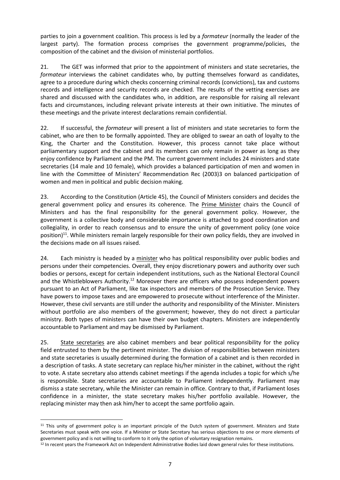parties to join a government coalition. This process is led by a *formateur* (normally the leader of the largest party). The formation process comprises the government programme/policies, the composition of the cabinet and the division of ministerial portfolios.

21. The GET was informed that prior to the appointment of ministers and state secretaries, the *formateur* interviews the cabinet candidates who, by putting themselves forward as candidates, agree to a procedure during which checks concerning criminal records (convictions), tax and customs records and intelligence and security records are checked. The results of the vetting exercises are shared and discussed with the candidates who, in addition, are responsible for raising all relevant facts and circumstances, including relevant private interests at their own initiative. The minutes of these meetings and the private interest declarations remain confidential.

22. If successful, the *formateur* will present a list of ministers and state secretaries to form the cabinet, who are then to be formally appointed. They are obliged to swear an oath of loyalty to the King, the Charter and the Constitution. However, this process cannot take place without parliamentary support and the cabinet and its members can only remain in power as long as they enjoy confidence by Parliament and the PM. The current government includes 24 ministers and state secretaries (14 male and 10 female), which provides a balanced participation of men and women in line with the Committee of Ministers' Recommendation Rec (2003)3 on balanced participation of women and men in political and public decision making.

23. According to the Constitution (Article 45), the Council of Ministers considers and decides the general government policy and ensures its coherence. The Prime Minister chairs the Council of Ministers and has the final responsibility for the general government policy. However, the government is a collective body and considerable importance is attached to good coordination and collegiality, in order to reach consensus and to ensure the unity of government policy (one voice position)<sup>11</sup>. While ministers remain largely responsible for their own policy fields, they are involved in the decisions made on all issues raised.

24. Each ministry is headed by a minister who has political responsibility over public bodies and persons under their competencies. Overall, they enjoy discretionary powers and authority over such bodies or persons, except for certain independent institutions, such as the National Electoral Council and the Whistleblowers Authority.<sup>12</sup> Moreover there are officers who possess independent powers pursuant to an Act of Parliament, like tax inspectors and members of the Prosecution Service. They have powers to impose taxes and are empowered to prosecute without interference of the Minister. However, these civil servants are still under the authority and responsibility of the Minister. Ministers without portfolio are also members of the government; however, they do not direct a particular ministry. Both types of ministers can have their own budget chapters. Ministers are independently accountable to Parliament and may be dismissed by Parliament.

25. State secretaries are also cabinet members and bear political responsibility for the policy field entrusted to them by the pertinent minister. The division of responsibilities between ministers and state secretaries is usually determined during the formation of a cabinet and is then recorded in a description of tasks. A state secretary can replace his/her minister in the cabinet, without the right to vote. A state secretary also attends cabinet meetings if the agenda includes a topic for which s/he is responsible. State secretaries are accountable to Parliament independently. Parliament may dismiss a state secretary, while the Minister can remain in office. Contrary to that, if Parliament loses confidence in a minister, the state secretary makes his/her portfolio available. However, the replacing minister may then ask him/her to accept the same portfolio again.

 $\overline{a}$ 

<sup>&</sup>lt;sup>11</sup> This unity of government policy is an important principle of the Dutch system of government. Ministers and State Secretaries must speak with one voice. If a Minister or State Secretary has serious objections to one or more elements of government policy and is not willing to conform to it only the option of voluntary resignation remains.

<sup>&</sup>lt;sup>12</sup> In recent years the Framework Act on Independent Administrative Bodies laid down general rules for these institutions.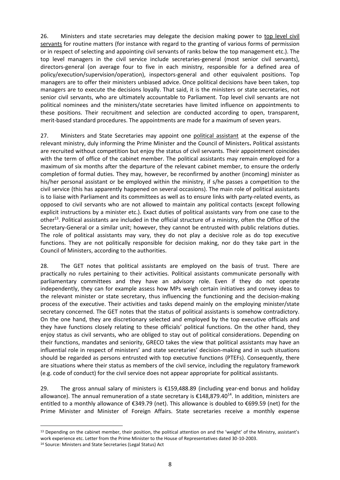26. Ministers and state secretaries may delegate the decision making power to top level civil servants for routine matters (for instance with regard to the granting of various forms of permission or in respect of selecting and appointing civil servants of ranks below the top management etc.). The top level managers in the civil service include secretaries-general (most senior civil servants), directors-general (on average four to five in each ministry, responsible for a defined area of policy/execution/supervision/operation), inspectors-general and other equivalent positions. Top managers are to offer their ministers unbiased advice. Once political decisions have been taken, top managers are to execute the decisions loyally. That said, it is the ministers or state secretaries, not senior civil servants, who are ultimately accountable to Parliament. Top level civil servants are not political nominees and the ministers/state secretaries have limited influence on appointments to these positions. Their recruitment and selection are conducted according to open, transparent, merit-based standard procedures. The appointments are made for a maximum of seven years.

27. Ministers and State Secretaries may appoint one political assistant at the expense of the relevant ministry, duly informing the Prime Minister and the Council of Ministers**.** Political assistants are recruited without competition but enjoy the status of civil servants. Their appointment coincides with the term of office of the cabinet member. The political assistants may remain employed for a maximum of six months after the departure of the relevant cabinet member, to ensure the orderly completion of formal duties. They may, however, be reconfirmed by another (incoming) minister as his/her personal assistant or be employed within the ministry, if s/he passes a competition to the civil service (this has apparently happened on several occasions). The main role of political assistants is to liaise with Parliament and its committees as well as to ensure links with party-related events, as opposed to civil servants who are not allowed to maintain any political contacts (except following explicit instructions by a minister etc.). Exact duties of political assistants vary from one case to the other<sup>13</sup>. Political assistants are included in the official structure of a ministry, often the Office of the Secretary-General or a similar unit; however, they cannot be entrusted with public relations duties. The role of political assistants may vary, they do not play a decisive role as do top executive functions. They are not politically responsible for decision making, nor do they take part in the Council of Ministers, according to the authorities.

28. The GET notes that political assistants are employed on the basis of trust. There are practically no rules pertaining to their activities. Political assistants communicate personally with parliamentary committees and they have an advisory role. Even if they do not operate independently, they can for example assess how MPs weigh certain initiatives and convey ideas to the relevant minister or state secretary, thus influencing the functioning and the decision-making process of the executive. Their activities and tasks depend mainly on the employing minister/state secretary concerned. The GET notes that the status of political assistants is somehow contradictory. On the one hand, they are discretionary selected and employed by the top executive officials and they have functions closely relating to these officials' political functions. On the other hand, they enjoy status as civil servants, who are obliged to stay out of political considerations. Depending on their functions, mandates and seniority, GRECO takes the view that political assistants may have an influential role in respect of ministers' and state secretaries' decision-making and in such situations should be regarded as persons entrusted with top executive functions (PTEFs). Consequently, there are situations where their status as members of the civil service, including the regulatory framework (e.g. code of conduct) for the civil service does not appear appropriate for political assistants.

29. The gross annual salary of ministers is €159,488.89 (including year-end bonus and holiday allowance). The annual remuneration of a state secretary is  $\epsilon$ 148,879.40<sup>14</sup>. In addition, ministers are entitled to a monthly allowance of €349.79 (net). This allowance is doubled to €699.59 (net) for the Prime Minister and Minister of Foreign Affairs. State secretaries receive a monthly expense

 $\overline{a}$ 

<sup>&</sup>lt;sup>13</sup> Depending on the cabinet member, their position, the political attention on and the 'weight' of the Ministry, assistant's work experience etc. Letter from the Prime Minister to the House of Representatives dated 30-10-2003.

<sup>14</sup> Source: Ministers and State Secretaries (Legal Status) Act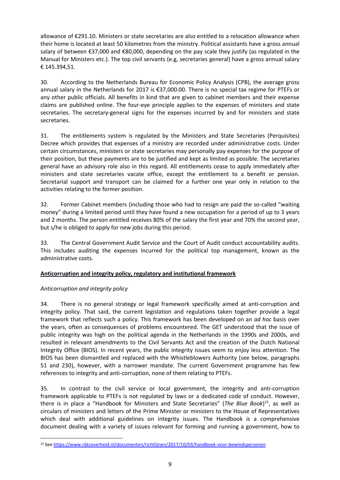allowance of €291.10. Ministers or state secretaries are also entitled to a relocation allowance when their home is located at least 50 kilometres from the ministry. Political assistants have a gross annual salary of between €37,000 and €80,000, depending on the pay scale they justify (as regulated in the Manual for Ministers etc.). The top civil servants (e.g, secretaries general) have a gross annual salary € 145.394,51.

30. According to the Netherlands Bureau for Economic Policy Analysis (CPB), the average gross annual salary in the Netherlands for 2017 is €37,000.00. There is no special tax regime for PTEFs or any other public officials. All benefits in kind that are given to cabinet members and their expense claims are published online. The four-eye principle applies to the expenses of ministers and state secretaries. The secretary-general signs for the expenses incurred by and for ministers and state secretaries.

31. The entitlements system is regulated by the Ministers and State Secretaries (Perquisites) Decree which provides that expenses of a ministry are recorded under administrative costs. Under certain circumstances, ministers or state secretaries may personally pay expenses for the purpose of their position, but these payments are to be justified and kept as limited as possible. The secretaries general have an advisory role also in this regard. All entitlements cease to apply immediately after ministers and state secretaries vacate office, except the entitlement to a benefit or pension. Secretarial support and transport can be claimed for a further one year only in relation to the activities relating to the former position.

32. Former Cabinet members (including those who had to resign are paid the so-called "waiting money" during a limited period until they have found a new occupation for a period of up to 3 years and 2 months. The person entitled receives 80% of the salary the first year and 70% the second year, but s/he is obliged to apply for new jobs during this period.

33. The Central Government Audit Service and the Court of Audit conduct accountability audits. This includes auditing the expenses incurred for the political top management, known as the administrative costs.

#### <span id="page-8-0"></span>**Anticorruption and integrity policy, regulatory and institutional framework**

#### <span id="page-8-1"></span>*Anticorruption and integrity policy*

 $\overline{\phantom{a}}$ 

34. There is no general strategy or legal framework specifically aimed at anti-corruption and integrity policy. That said, the current legislation and regulations taken together provide a legal framework that reflects such a policy. This framework has been developed on an *ad hoc* basis over the years, often as consequences of problems encountered. The GET understood that the issue of public integrity was high on the political agenda in the Netherlands in the 1990s and 2000s, and resulted in relevant amendments to the Civil Servants Act and the creation of the Dutch National Integrity Office (BIOS). In recent years, the public integrity issues seem to enjoy less attention. The BIOS has been dismantled and replaced with the Whistleblowers Authority (see below, paragraphs 51 and 230), however, with a narrower mandate. The current Government programme has few references to integrity and anti-corruption, none of them relating to PTEFs.

35. In contrast to the civil service or local government, the integrity and anti-corruption framework applicable to PTEFs is not regulated by laws or a dedicated code of conduct. However, there is in place a "Handbook for Ministers and State Secretaries" (*The Blue Book*) <sup>15</sup>, as well as circulars of ministers and letters of the Prime Minister or ministers to the House of Representatives which deal with additional guidelines on integrity issues. The Handbook is a comprehensive document dealing with a variety of issues relevant for forming and running a government, how to

<sup>15</sup> See<https://www.rijksoverheid.nl/documenten/richtlijnen/2017/10/03/handboek-voor-bewindspersonen>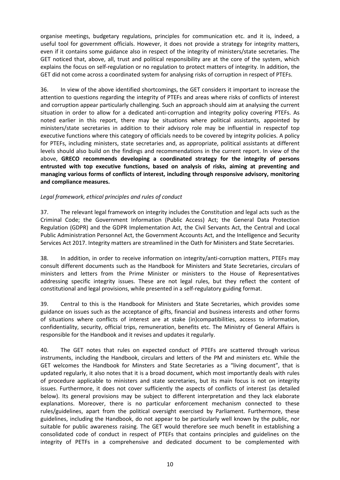organise meetings, budgetary regulations, principles for communication etc. and it is, indeed, a useful tool for government officials. However, it does not provide a strategy for integrity matters, even if it contains some guidance also in respect of the integrity of ministers/state secretaries. The GET noticed that, above, all, trust and political responsibility are at the core of the system, which explains the focus on self-regulation or no regulation to protect matters of integrity. In addition, the GET did not come across a coordinated system for analysing risks of corruption in respect of PTEFs.

36. In view of the above identified shortcomings, the GET considers it important to increase the attention to questions regarding the integrity of PTEFs and areas where risks of conflicts of interest and corruption appear particularly challenging. Such an approach should aim at analysing the current situation in order to allow for a dedicated anti-corruption and integrity policy covering PTEFs. As noted earlier in this report, there may be situations where political assistants, appointed by ministers/state secretaries in addition to their advisory role may be influential in respectof top executive functions where this category of officials needs to be covered by integrity policies. A policy for PTEFs, including ministers, state secretaries and, as appropriate, political assistants at different levels should also build on the findings and recommendations in the current report. In view of the above, **GRECO recommends developing a coordinated strategy for the integrity of persons entrusted with top executive functions, based on analysis of risks, aiming at preventing and managing various forms of conflicts of interest, including through responsive advisory, monitoring and compliance measures.**

#### <span id="page-9-0"></span>*Legal framework, ethical principles and rules of conduct*

37. The relevant legal framework on integrity includes the Constitution and legal acts such as the Criminal Code; the Government Information (Public Access) Act; the General Data Protection Regulation (GDPR) and the GDPR Implementation Act, the Civil Servants Act, the Central and Local Public Administration Personnel Act, the Government Accounts Act, and the Intelligence and Security Services Act 2017. Integrity matters are streamlined in the Oath for Ministers and State Secretaries.

38. In addition, in order to receive information on integrity/anti-corruption matters, PTEFs may consult different documents such as the Handbook for Ministers and State Secretaries, circulars of ministers and letters from the Prime Minister or ministers to the House of Representatives addressing specific integrity issues. These are not legal rules, but they reflect the content of constitutional and legal provisions, while presented in a self-regulatory guiding format.

39. Central to this is the Handbook for Ministers and State Secretaries, which provides some guidance on issues such as the acceptance of gifts, financial and business interests and other forms of situations where conflicts of interest are at stake (in)compatibilities, access to information, confidentiality, security, official trips, remuneration, benefits etc. The Ministry of General Affairs is responsible for the Handbook and it revises and updates it regularly.

40. The GET notes that rules on expected conduct of PTEFs are scattered through various instruments, including the Handbook, circulars and letters of the PM and ministers etc. While the GET welcomes the Handbook for Minsters and State Secretaries as a "living document", that is updated regularly, it also notes that it is a broad document, which most importantly deals with rules of procedure applicable to ministers and state secretaries, but its main focus is not on integrity issues. Furthermore, it does not cover sufficiently the aspects of conflicts of interest (as detailed below). Its general provisions may be subject to different interpretation and they lack elaborate explanations. Moreover, there is no particular enforcement mechanism connected to these rules/guidelines, apart from the political oversight exercised by Parliament. Furthermore, these guidelines, including the Handbook, do not appear to be particularly well known by the public, nor suitable for public awareness raising. The GET would therefore see much benefit in establishing a consolidated code of conduct in respect of PTEFs that contains principles and guidelines on the integrity of PETFs in a comprehensive and dedicated document to be complemented with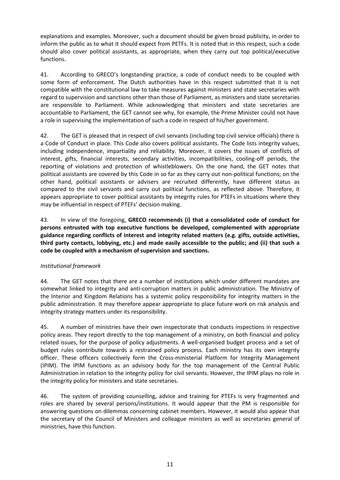explanations and examples. Moreover, such a document should be given broad publicity, in order to inform the public as to what it should expect from PETFs. It is noted that in this respect, such a code should also cover political assistants, as appropriate, when they carry out top political/executive functions.

41. According to GRECO's longstanding practice, a code of conduct needs to be coupled with some form of enforcement. The Dutch authorities have in this respect submitted that it is not compatible with the constitutional law to take measures against ministers and state secretaries with regard to supervision and sanctions other than those of Parliament, as ministers and state secretaries are responsible to Parliament. While acknowledging that ministers and state secretaries are accountable to Parliament, the GET cannot see why, for example, the Prime Minister could not have a role in supervising the implementation of such a code in respect of his/her government.

42. The GET is pleased that in respect of civil servants (including top civil service officials) there is a Code of Conduct in place. This Code also covers political assistants. The Code lists integrity values, including independence, impartiality and reliability. Moreover, it covers the issues of conflicts of interest, gifts, financial interests, secondary activities, incompatibilities, cooling-off periods, the reporting of violations and protection of whistleblowers. On the one hand, the GET notes that political assistants are covered by this Code in so far as they carry out non-political functions; on the other hand, political assistants or advisers are recruited differently, have different status as compared to the civil servants and carry out political functions, as reflected above. Therefore, it appears appropriate to cover political assistants by integrity rules for PTEFs in situations where they may be influential in respect of PTEFs' decision making.

43. In view of the foregoing, **GRECO recommends (i) that a consolidated code of conduct for persons entrusted with top executive functions be developed, complemented with appropriate guidance regarding conflicts of interest and integrity related matters (e.g. gifts, outside activities, third party contacts, lobbying, etc.) and made easily accessible to the public; and (ii) that such a code be coupled with a mechanism of supervision and sanctions.**

#### <span id="page-10-0"></span>*Institutional framework*

44. The GET notes that there are a number of institutions which under different mandates are somewhat linked to integrity and anti-corruption matters in public administration. The Ministry of the Interior and Kingdom Relations has a systemic policy responsibility for integrity matters in the public administration. It may therefore appear appropriate to place future work on risk analysis and integrity strategy matters under its responsibility.

45. A number of ministries have their own inspectorate that conducts inspections in respective policy areas. They report directly to the top management of a ministry, on both financial and policy related issues, for the purpose of policy adjustments. A well-organised budget process and a set of budget rules contribute towards a restrained policy process. Each ministry has its own integrity officer. These officers collectively form the Cross-ministerial Platform for Integrity Management (IPIM). The IPIM functions as an advisory body for the top management of the Central Public Administration in relation to the integrity policy for civil servants. However, the IPIM plays no role in the integrity policy for ministers and state secretaries.

46. The system of providing counselling, advice and training for PTEFs is very fragmented and roles are shared by several persons/institutions. It would appear that the PM is responsible for answering questions on dilemmas concerning cabinet members. However, it would also appear that the secretary of the Council of Ministers and colleague ministers as well as secretaries general of ministries, have this function.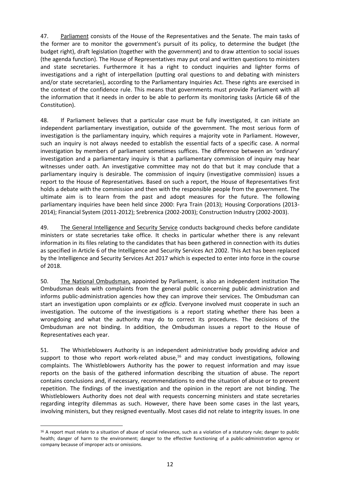47. Parliament consists of the House of the Representatives and the Senate. The main tasks of the former are to monitor the government's pursuit of its policy, to determine the budget (the budget right), draft legislation (together with the government) and to draw attention to social issues (the agenda function). The House of Representatives may put oral and written questions to ministers and state secretaries. Furthermore it has a right to conduct inquiries and lighter forms of investigations and a right of interpellation (putting oral questions to and debating with ministers and/or state secretaries), according to the Parliamentary Inquiries Act. These rights are exercised in the context of the confidence rule. This means that governments must provide Parliament with all the information that it needs in order to be able to perform its monitoring tasks (Article 68 of the Constitution).

48. If Parliament believes that a particular case must be fully investigated, it can initiate an independent parliamentary investigation, outside of the government. The most serious form of investigation is the parliamentary inquiry, which requires a majority vote in Parliament. However, such an inquiry is not always needed to establish the essential facts of a specific case. A normal investigation by members of parliament sometimes suffices. The difference between an 'ordinary' investigation and a parliamentary inquiry is that a parliamentary commission of inquiry may hear witnesses under oath. An investigative committee may not do that but it may conclude that a parliamentary inquiry is desirable. The commission of inquiry (investigative commission) issues a report to the House of Representatives. Based on such a report, the House of Representatives first holds a debate with the commission and then with the responsible people from the government. The ultimate aim is to learn from the past and adopt measures for the future. The following parliamentary inquiries have been held since 2000: Fyra Train (2013); Housing Corporations (2013- 2014); Financial System (2011-2012); Srebrenica (2002-2003); Construction Industry (2002-2003).

49. The General Intelligence and Security Service conducts background checks before candidate ministers or state secretaries take office. It checks in particular whether there is any relevant information in its files relating to the candidates that has been gathered in connection with its duties as specified in Article 6 of the Intelligence and Security Services Act 2002. This Act has been replaced by the Intelligence and Security Services Act 2017 which is expected to enter into force in the course of 2018.

50. The National Ombudsman, appointed by Parliament, is also an independent institution The Ombudsman deals with complaints from the general public concerning public administration and informs public-administration agencies how they can improve their services. The Ombudsman can start an investigation upon complaints or *ex officio*. Everyone involved must cooperate in such an investigation. The outcome of the investigations is a report stating whether there has been a wrongdoing and what the authority may do to correct its procedures. The decisions of the Ombudsman are not binding. In addition, the Ombudsman issues a report to the House of Representatives each year.

51. The Whistleblowers Authority is an independent administrative body providing advice and support to those who report work-related abuse,<sup>16</sup> and may conduct investigations, following complaints. The Whistleblowers Authority has the power to request information and may issue reports on the basis of the gathered information describing the situation of abuse. The report contains conclusions and, if necessary, recommendations to end the situation of abuse or to prevent repetition. The findings of the investigation and the opinion in the report are not binding. The Whistleblowers Authority does not deal with requests concerning ministers and state secretaries regarding integrity dilemmas as such. However, there have been some cases in the last years, involving ministers, but they resigned eventually. Most cases did not relate to integrity issues. In one

 $\overline{a}$ 

<sup>&</sup>lt;sup>16</sup> A report must relate to a situation of abuse of social relevance, such as a violation of a statutory rule; danger to public health; danger of harm to the environment; danger to the effective functioning of a public-administration agency or company because of improper acts or omissions.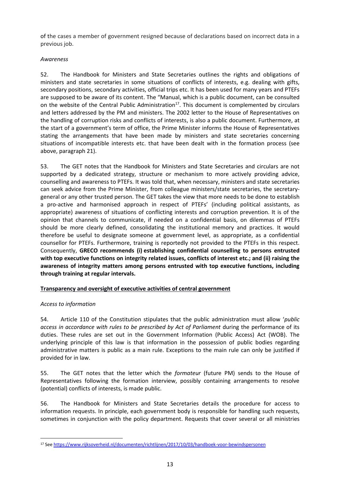of the cases a member of government resigned because of declarations based on incorrect data in a previous job.

#### <span id="page-12-0"></span>*Awareness*

52. The Handbook for Ministers and State Secretaries outlines the rights and obligations of ministers and state secretaries in some situations of conflicts of interests, e.g. dealing with gifts, secondary positions, secondary activities, official trips etc. It has been used for many years and PTEFs are supposed to be aware of its content. The "Manual, which is a public document, can be consulted on the website of the Central Public Administration<sup>17</sup>. This document is complemented by circulars and letters addressed by the PM and ministers. The 2002 letter to the House of Representatives on the handling of corruption risks and conflicts of interests, is also a public document. Furthermore, at the start of a government's term of office, the Prime Minister informs the House of Representatives stating the arrangements that have been made by ministers and state secretaries concerning situations of incompatible interests etc. that have been dealt with in the formation process (see above, paragraph 21).

53. The GET notes that the Handbook for Ministers and State Secretaries and circulars are not supported by a dedicated strategy, structure or mechanism to more actively providing advice, counselling and awareness to PTEFs. It was told that, when necessary, ministers and state secretaries can seek advice from the Prime Minister, from colleague ministers/state secretaries, the secretarygeneral or any other trusted person. The GET takes the view that more needs to be done to establish a pro-active and harmonised approach in respect of PTEFs' (including political assistants, as appropriate) awareness of situations of conflicting interests and corruption prevention. It is of the opinion that channels to communicate, if needed on a confidential basis, on dilemmas of PTEFs should be more clearly defined, consolidating the institutional memory and practices. It would therefore be useful to designate someone at government level, as appropriate, as a confidential counsellor for PTEFs. Furthermore, training is reportedly not provided to the PTEFs in this respect. Consequently, **GRECO recommends (i) establishing confidential counselling to persons entrusted with top executive functions on integrity related issues, conflicts of interest etc.; and (ii) raising the awareness of integrity matters among persons entrusted with top executive functions, including through training at regular intervals.**

#### <span id="page-12-1"></span>**Transparency and oversight of executive activities of central government**

#### <span id="page-12-2"></span>*Access to information*

 $\overline{\phantom{a}}$ 

54. Article 110 of the Constitution stipulates that the public administration must allow '*public access in accordance with rules to be prescribed by Act of Parliament* during the performance of its duties. These rules are set out in the Government Information (Public Access) Act (WOB). The underlying principle of this law is that information in the possession of public bodies regarding administrative matters is public as a main rule. Exceptions to the main rule can only be justified if provided for in law.

55. The GET notes that the letter which the *formateur* (future PM) sends to the House of Representatives following the formation interview, possibly containing arrangements to resolve (potential) conflicts of interests, is made public.

56. The Handbook for Ministers and State Secretaries details the procedure for access to information requests. In principle, each government body is responsible for handling such requests, sometimes in conjunction with the policy department. Requests that cover several or all ministries

<sup>17</sup> See<https://www.rijksoverheid.nl/documenten/richtlijnen/2017/10/03/handboek-voor-bewindspersonen>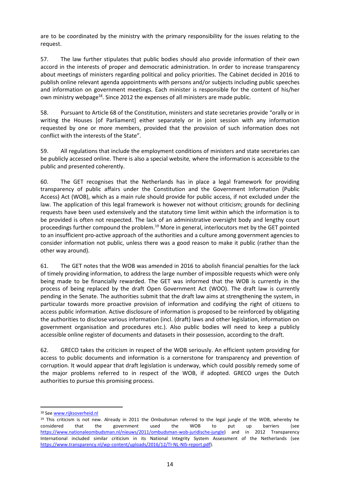are to be coordinated by the ministry with the primary responsibility for the issues relating to the request.

57. The law further stipulates that public bodies should also provide information of their own accord in the interests of proper and democratic administration. In order to increase transparency about meetings of ministers regarding political and policy priorities. The Cabinet decided in 2016 to publish online relevant agenda appointments with persons and/or subjects including public speeches and information on government meetings. Each minister is responsible for the content of his/her own ministry webpage<sup>18</sup>. Since 2012 the expenses of all ministers are made public.

58. Pursuant to Article 68 of the Constitution, ministers and state secretaries provide "orally or in writing the Houses [of Parliament] either separately or in joint session with any information requested by one or more members, provided that the provision of such information does not conflict with the interests of the State".

59. All regulations that include the employment conditions of ministers and state secretaries can be publicly accessed online. There is also a special website*,* where the information is accessible to the public and presented coherently.

60. The GET recognises that the Netherlands has in place a legal framework for providing transparency of public affairs under the Constitution and the Government Information (Public Access) Act (WOB), which as a main rule should provide for public access, if not excluded under the law. The application of this legal framework is however not without criticism; grounds for declining requests have been used extensively and the statutory time limit within which the information is to be provided is often not respected. The lack of an administrative oversight body and lengthy court proceedings further compound the problem.<sup>19</sup> More in general, interlocutors met by the GET pointed to an insufficient pro-active approach of the authorities and a culture among government agencies to consider information not public, unless there was a good reason to make it public (rather than the other way around).

61. The GET notes that the WOB was amended in 2016 to abolish financial penalties for the lack of timely providing information, to address the large number of impossible requests which were only being made to be financially rewarded. The GET was informed that the WOB is currently in the process of being replaced by the draft Open Government Act (WOO). The draft law is currently pending in the Senate. The authorities submit that the draft law aims at strengthening the system, in particular towards more proactive provision of information and codifying the right of citizens to access public information. Active disclosure of information is proposed to be reinforced by obligating the authorities to disclose various information (incl. (draft) laws and other legislation, information on government organisation and procedures etc.). Also public bodies will need to keep a publicly accessible online register of documents and datasets in their possession, according to the draft.

62. GRECO takes the criticism in respect of the WOB seriously. An efficient system providing for access to public documents and information is a cornerstone for transparency and prevention of corruption. It would appear that draft legislation is underway, which could possibly remedy some of the major problems referred to in respect of the WOB, if adopted. GRECO urges the Dutch authorities to pursue this promising process.

 $\overline{\phantom{a}}$ 

<sup>18</sup> See [www.rijksoverheid.nl](http://www.rijksoverheid.nl/)

<sup>&</sup>lt;sup>19</sup> This criticism is not new. Already in 2011 the Ombudsman referred to the legal jungle of the WOB, whereby he considered that the government used the WOB to put up barriers (see considered that the government used the WOB to put up barriers (see [https://www.nationaleombudsman.nl/nieuws/2011/ombudsman-wob-juridische-jungle\)](https://www.nationaleombudsman.nl/nieuws/2011/ombudsman-wob-juridische-jungle) and in 2012 Transparency International included similar criticism in its National Integrity System Assessment of the Netherlands (see [https://www.transparency.nl/wp-content/uploads/2016/12/TI-NL-NIS-report.pdf\)](https://www.transparency.nl/wp-content/uploads/2016/12/TI-NL-NIS-report.pdf).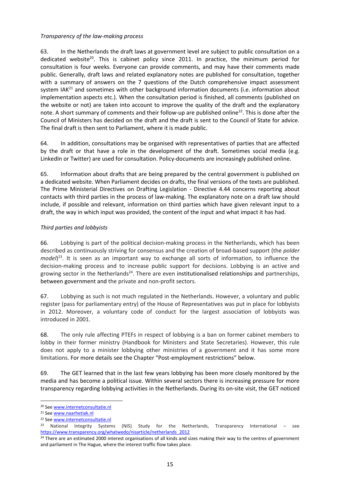#### *Transparency of the law-making process*

63. In the Netherlands the draft laws at government level are subject to public consultation on a dedicated website<sup>20</sup>. This is cabinet policy since 2011. In practice, the minimum period for consultation is four weeks. Everyone can provide comments, and may have their comments made public. Generally, draft laws and related explanatory notes are published for consultation, together with a summary of answers on the 7 questions of the Dutch comprehensive impact assessment system IAK $^{21}$  and sometimes with other background information documents (i.e. information about implementation aspects etc.). When the consultation period is finished, all comments (published on the website or not) are taken into account to improve the quality of the draft and the explanatory note. A short summary of comments and their follow-up are published online<sup>22</sup>. This is done after the Council of Ministers has decided on the draft and the draft is sent to the Council of State for advice. The final draft is then sent to Parliament, where it is made public.

64. In addition, consultations may be organised with representatives of parties that are affected by the draft or that have a role in the development of the draft. Sometimes social media (e.g. LinkedIn or Twitter) are used for consultation. Policy-documents are increasingly published online.

65. Information about drafts that are being prepared by the central government is published on a dedicated website. When Parliament decides on drafts, the final versions of the texts are published. The Prime Ministerial Directives on Drafting Legislation - Directive 4.44 concerns reporting about contacts with third parties in the process of law-making. The explanatory note on a draft law should include, if possible and relevant, information on third parties which have given relevant input to a draft, the way in which input was provided, the content of the input and what impact it has had.

#### <span id="page-14-0"></span>*Third parties and lobbyists*

66. Lobbying is part of the political decision-making process in the Netherlands, which has been described as continuously striving for consensus and the creation of broad-based support (the *polder model*) <sup>23</sup>. It is seen as an important way to exchange all sorts of information, to influence the decision-making process and to increase public support for decisions. Lobbying is an active and growing sector in the Netherlands<sup>24</sup>. There are even institutionalised relationships and partnerships, between government and the private and non-profit sectors.

67. Lobbying as such is not much regulated in the Netherlands. However, a voluntary and public register (pass for parliamentary entry) of the House of Representatives was put in place for lobbyists in 2012. Moreover, a voluntary code of conduct for the largest association of lobbyists was introduced in 2001.

68. The only rule affecting PTEFs in respect of lobbying is a ban on former cabinet members to lobby in their former ministry (Handbook for Ministers and State Secretaries). However, this rule does not apply to a minister lobbying other ministries of a government and it has some more limitations. For more details see the Chapter "Post-employment restrictions" below.

69. The GET learned that in the last few years lobbying has been more closely monitored by the media and has become a political issue. Within several sectors there is increasing pressure for more transparency regarding lobbying activities in the Netherlands. During its on-site visit, the GET noticed

 $\overline{a}$ <sup>20</sup> See [www.internetconsultatie.nl](http://www.internetconsultatie.nl/)

<sup>21</sup> See [www.naarhetiak.nl](http://www.naarhetiak.nl/)

<sup>22</sup> See [www.internetconsultatie.nl](http://www.internetconsultatie.nl/)

<sup>&</sup>lt;sup>23</sup> National Integrity Systems (NIS) Study for the Netherlands, Transparency International – see [https://www.transparency.org/whatwedo/nisarticle/netherlands\\_2012](https://www.transparency.org/whatwedo/nisarticle/netherlands_2012)

<sup>&</sup>lt;sup>24</sup> There are an estimated 2000 interest organisations of all kinds and sizes making their way to the centres of government and parliament in The Hague, where the interest traffic flow takes place.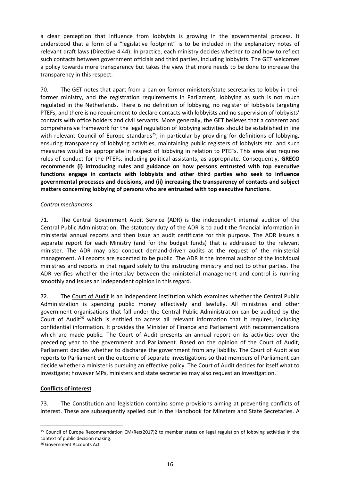a clear perception that influence from lobbyists is growing in the governmental process. It understood that a form of a "legislative footprint" is to be included in the explanatory notes of relevant draft laws (Directive 4.44). In practice, each ministry decides whether to and how to reflect such contacts between government officials and third parties, including lobbyists. The GET welcomes a policy towards more transparency but takes the view that more needs to be done to increase the transparency in this respect.

70. The GET notes that apart from a ban on former ministers/state secretaries to lobby in their former ministry, and the registration requirements in Parliament, lobbying as such is not much regulated in the Netherlands. There is no definition of lobbying, no register of lobbyists targeting PTEFs, and there is no requirement to declare contacts with lobbyists and no supervision of lobbyists' contacts with office holders and civil servants. More generally, the GET believes that a coherent and comprehensive framework for the legal regulation of lobbying activities should be established in line with relevant Council of Europe standards<sup>25</sup>, in particular by providing for definitions of lobbying, ensuring transparency of lobbying activities, maintaining public registers of lobbyists etc. and such measures would be appropriate in respect of lobbying in relation to PTEFs. This area also requires rules of conduct for the PTEFs, including political assistants, as appropriate. Consequently, **GRECO recommends (i) introducing rules and guidance on how persons entrusted with top executive functions engage in contacts with lobbyists and other third parties who seek to influence governmental processes and decisions, and (ii) increasing the transparency of contacts and subject matters concerning lobbying of persons who are entrusted with top executive functions.**

#### <span id="page-15-0"></span>*Control mechanisms*

71. The Central Government Audit Service (ADR) is the independent internal auditor of the Central Public Administration. The statutory duty of the ADR is to audit the financial information in ministerial annual reports and then issue an audit certificate for this purpose. The ADR issues a separate report for each Ministry (and for the budget funds) that is addressed to the relevant minister. The ADR may also conduct demand-driven audits at the request of the ministerial management. All reports are expected to be public. The ADR is the internal auditor of the individual ministries and reports in that regard solely to the instructing ministry and not to other parties. The ADR verifies whether the interplay between the ministerial management and control is running smoothly and issues an independent opinion in this regard.

72. The Court of Audit is an independent institution which examines whether the Central Public Administration is spending public money effectively and lawfully. All ministries and other government organisations that fall under the Central Public Administration can be audited by the Court of Audit<sup>26</sup> which is entitled to access all relevant information that it requires, including confidential information. It provides the Minister of Finance and Parliament with recommendations which are made public. The Court of Audit presents an annual report on its activities over the preceding year to the government and Parliament. Based on the opinion of the Court of Audit, Parliament decides whether to discharge the government from any liability. The Court of Audit also reports to Parliament on the outcome of separate investigations so that members of Parliament can decide whether a minister is pursuing an effective policy. The Court of Audit decides for itself what to investigate; however MPs, ministers and state secretaries may also request an investigation.

#### <span id="page-15-1"></span>**Conflicts of interest**

 $\overline{a}$ 

73. The Constitution and legislation contains some provisions aiming at preventing conflicts of interest. These are subsequently spelled out in the Handbook for Minsters and State Secretaries. A

<sup>&</sup>lt;sup>25</sup> Council of Europe Recommendation CM/Rec(2017)2 to member states on legal regulation of lobbying activities in the context of public decision making.

<sup>26</sup> Government Accounts Act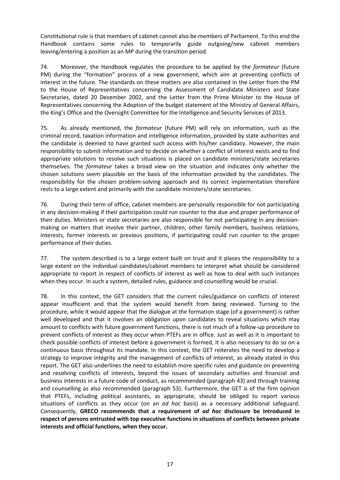Constitutional rule is that members of cabinet cannot also be members of Parliament. To this end the Handbook contains some rules to temporarily guide outgoing/new cabinet members leaving/entering a position as an MP during the transition period.

74. Moreover, the Handbook regulates the procedure to be applied by the *formateur* (future PM) during the "formation" process of a new government, which aim at preventing conflicts of interest in the future. The standards on these matters are also contained in the Letter from the PM to the House of Representatives concerning the Assessment of Candidate Ministers and State Secretaries, dated 20 December 2002, and the Letter from the Prime Minister to the House of Representatives concerning the Adoption of the budget statement of the Ministry of General Affairs, the King's Office and the Oversight Committee for the Intelligence and Security Services of 2013.

75. As already mentioned, the *formateur* (future PM) will rely on information, such as the criminal record, taxation information and intelligence information, provided by state authorities and the candidate is deemed to have granted such access with his/her candidacy. However, the main responsibility to submit information and to decide on whether a conflict of interest exists and to find appropriate solutions to resolve such situations is placed on candidate ministers/state secretaries themselves. The *formateur* takes a broad view on the situation and indicates only whether the chosen solutions seem plausible on the basis of the information provided by the candidates. The responsibility for the chosen problem-solving approach and its correct implementation therefore rests to a large extent and primarily with the candidate ministers/state secretaries.

76. During their term of office, cabinet members are personally responsible for not participating in any decision-making if their participation could run counter to the due and proper performance of their duties. Ministers or state secretaries are also responsible for not participating in any decisionmaking on matters that involve their partner, children, other family members, business relations, interests, former interests or previous positions, if participating could run counter to the proper performance of their duties.

77. The system described is to a large extent built on trust and it places the responsibility to a large extent on the individual candidates/cabinet members to interpret what should be considered appropriate to report in respect of conflicts of interest as well as how to deal with such instances when they occur. In such a system, detailed rules, guidance and counselling would be crucial.

<span id="page-16-0"></span>78. In this context, the GET considers that the current rules/guidance on conflicts of interest appear insufficient and that the system would benefit from being reviewed. Turning to the procedure, while it would appear that the dialogue at the formation stage (of a government) is rather well developed and that it involves an obligation upon candidates to reveal situations which may amount to conflicts with future government functions, there is not much of a follow-up procedure to prevent conflicts of interest as they occur when PTEFs are in office. Just as well as it is important to check possible conflicts of interest before a government is formed, it is also necessary to do so on a continuous basis throughout its mandate. In this context, the GET reiterates the need to develop a strategy to improve integrity and the management of conflicts of interest, as already stated in this report. The GET also underlines the need to establish more specific rules and guidance on preventing and resolving conflicts of interests, beyond the issues of secondary activities and financial and business interests in a future code of conduct, as recommended (paragraph 43) and through training and counselling as also recommended (paragraph 53). Furthermore, the GET is of the firm opinion that PTEFs, including political assistants, as appropriate, should be obliged to report various situations of conflicts as they occur (on an *ad hoc* basis) as a necessary additional safeguard. Consequently, **GRECO recommends that a requirement of** *ad hoc* **disclosure be introduced in respect of persons entrusted with top executive functions in situations of conflicts between private interests and official functions, when they occur.**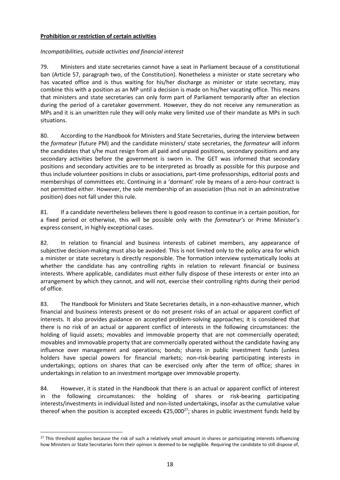#### **Prohibition or restriction of certain activities**

#### <span id="page-17-0"></span>*Incompatibilities, outside activities and financial interest*

79. Ministers and state secretaries cannot have a seat in Parliament because of a constitutional ban (Article 57, paragraph two, of the Constitution). Nonetheless a minister or state secretary who has vacated office and is thus waiting for his/her discharge as minister or state secretary, may combine this with a position as an MP until a decision is made on his/her vacating office. This means that ministers and state secretaries can only form part of Parliament temporarily after an election during the period of a caretaker government. However, they do not receive any remuneration as MPs and it is an unwritten rule they will only make very limited use of their mandate as MPs in such situations.

80. According to the Handbook for Ministers and State Secretaries, during the interview between the *formateur* (future PM) and the candidate ministers/ state secretaries, the *formateur* will inform the candidates that s/he must resign from all paid and unpaid positions, secondary positions and any secondary activities before the government is sworn in. The GET was informed that secondary positions and secondary activities are to be interpreted as broadly as possible for this purpose and thus include volunteer positions in clubs or associations, part-time professorships, editorial posts and memberships of committees etc. Continuing in a 'dormant' role by means of a zero-hour contract is not permitted either. However, the sole membership of an association (thus not in an administrative position) does not fall under this rule.

81. If a candidate nevertheless believes there is good reason to continue in a certain position, for a fixed period or otherwise, this will be possible only with the *formateur's* or Prime Minister's express consent, in highly exceptional cases.

82. In relation to financial and business interests of cabinet members, any appearance of subjective decision-making must also be avoided. This is not limited only to the policy area for which a minister or state secretary is directly responsible. The formation interview systematically looks at whether the candidate has any controlling rights in relation to relevant financial or business interests. Where applicable, candidates must either fully dispose of these interests or enter into an arrangement by which they cannot, and will not, exercise their controlling rights during their period of office.

83. The Handbook for Ministers and State Secretaries details, in a non-exhaustive manner, which financial and business interests present or do not present risks of an actual or apparent conflict of interests. It also provides guidance on accepted problem-solving approaches; it is considered that there is no risk of an actual or apparent conflict of interests in the following circumstances: the holding of liquid assets; movables and immovable property that are not commercially operated; movables and immovable property that are commercially operated without the candidate having any influence over management and operations; bonds; shares in public investment funds (unless holders have special powers for financial markets; non-risk-bearing participating interests in undertakings; options on shares that can be exercised only after the term of office; shares in undertakings in relation to an investment mortgage over immovable property.

84. However, it is stated in the Handbook that there is an actual or apparent conflict of interest in the following circumstances: the holding of shares or risk-bearing participating interests/investments in individual listed and non-listed undertakings, insofar as the cumulative value thereof when the position is accepted exceeds  $\epsilon$ 25,000<sup>27</sup>; shares in public investment funds held by

 $\overline{\phantom{a}}$ 

<sup>&</sup>lt;sup>27</sup> This threshold applies because the risk of such a relatively small amount in shares or participating interests influencing how Ministers or State Secretaries form their opinion is deemed to be negligible. Requiring the candidate to still dispose of,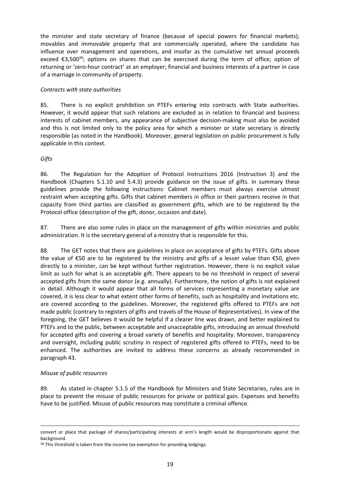the minister and state secretary of finance (because of special powers for financial markets); movables and immovable property that are commercially operated, where the candidate has influence over management and operations, and insofar as the cumulative net annual proceeds exceed  $\epsilon$ 3,500<sup>28</sup>; options on shares that can be exercised during the term of office; option of returning or 'zero-hour contract' at an employer; financial and business interests of a partner in case of a marriage in community of property.

#### <span id="page-18-0"></span>*Contracts with state authorities*

85. There is no explicit prohibition on PTEFs entering into contracts with State authorities. However, it would appear that such relations are excluded as in relation to financial and business interests of cabinet members, any appearance of subjective decision-making must also be avoided and this is not limited only to the policy area for which a minister or state secretary is directly responsible (as noted in the Handbook). Moreover, general legislation on public procurement is fully applicable in this context.

#### <span id="page-18-1"></span>*Gifts*

86. The Regulation for the Adoption of Protocol Instructions 2016 (Instruction 3) and the Handbook (Chapters 5.1.10 and 5.4.3) provide guidance on the issue of gifts. In summary these guidelines provide the following instructions: Cabinet members must always exercise utmost restraint when accepting gifts. Gifts that cabinet members in office or their partners receive in that capacity from third parties are classified as government gifts, which are to be registered by the Protocol office (description of the gift, donor, occasion and date).

87. There are also some rules in place on the management of gifts within ministries and public administration. It is the secretary general of a ministry that is responsible for this.

88. The GET notes that there are guidelines in place on acceptance of gifts by PTEFs. Gifts above the value of €50 are to be registered by the ministry and gifts of a lesser value than €50, given directly to a minister, can be kept without further registration. However, there is no explicit value limit as such for what is an acceptable gift. There appears to be no threshold in respect of several accepted gifts from the same donor (e.g. annually). Furthermore, the notion of gifts is not explained in detail. Although it would appear that all forms of services representing a monetary value are covered, it is less clear to what extent other forms of benefits, such as hospitality and invitations etc. are covered according to the guidelines. Moreover, the registered gifts offered to PTEFs are not made public (contrary to registers of gifts and travels of the House of Representatives). In view of the foregoing, the GET believes it would be helpful if a clearer line was drawn, and better explained to PTEFs and to the public, between acceptable and unacceptable gifts, introducing an annual threshold for accepted gifts and covering a broad variety of benefits and hospitality. Moreover, transparency and oversight, including public scrutiny in respect of registered gifts offered to PTEFs, need to be enhanced. The authorities are invited to address these concerns as already recommended in paragraph 43.

#### <span id="page-18-2"></span>*Misuse of public resources*

 $\overline{a}$ 

89. As stated in chapter 5.1.5 of the Handbook for Ministers and State Secretaries, rules are in place to prevent the misuse of public resources for private or political gain. Expenses and benefits have to be justified. Misuse of public resources may constitute a criminal offence.

convert or place that package of shares/participating interests at arm's length would be disproportionate against that background.

<sup>&</sup>lt;sup>28</sup> This threshold is taken from the income tax exemption for providing lodgings.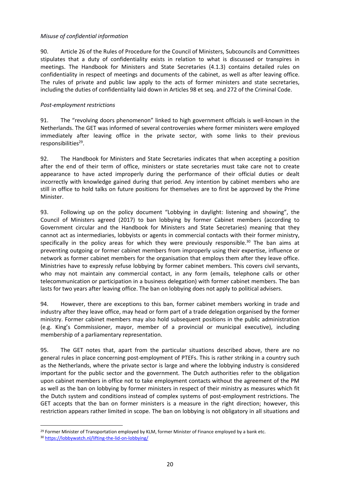#### <span id="page-19-0"></span>*Misuse of confidential information*

90. Article 26 of the Rules of Procedure for the Council of Ministers, Subcouncils and Committees stipulates that a duty of confidentiality exists in relation to what is discussed or transpires in meetings. The Handbook for Ministers and State Secretaries (4.1.3) contains detailed rules on confidentiality in respect of meetings and documents of the cabinet, as well as after leaving office. The rules of private and public law apply to the acts of former ministers and state secretaries, including the duties of confidentiality laid down in Articles 98 et seq. and 272 of the Criminal Code.

#### <span id="page-19-1"></span>*Post-employment restrictions*

91. The "revolving doors phenomenon" linked to high government officials is well-known in the Netherlands. The GET was informed of several controversies where former ministers were employed immediately after leaving office in the private sector, with some links to their previous responsibilities<sup>29</sup>.

92. The Handbook for Ministers and State Secretaries indicates that when accepting a position after the end of their term of office, ministers or state secretaries must take care not to create appearance to have acted improperly during the performance of their official duties or dealt incorrectly with knowledge gained during that period. Any intention by cabinet members who are still in office to hold talks on future positions for themselves are to first be approved by the Prime Minister.

93. Following up on the policy document "Lobbying in daylight: listening and showing", the Council of Ministers agreed (2017) to ban lobbying by former Cabinet members (according to Government circular and the Handbook for Ministers and State Secretaries) meaning that they cannot act as intermediaries, lobbyists or agents in commercial contacts with their former ministry, specifically in the policy areas for which they were previously responsible.<sup>30</sup> The ban aims at preventing outgoing or former cabinet members from improperly using their expertise, influence or network as former cabinet members for the organisation that employs them after they leave office. Ministries have to expressly refuse lobbying by former cabinet members. This covers civil servants, who may not maintain any commercial contact, in any form (emails, telephone calls or other telecommunication or participation in a business delegation) with former cabinet members. The ban lasts for two years after leaving office. The ban on lobbying does not apply to political advisers.

94. However, there are exceptions to this ban, former cabinet members working in trade and industry after they leave office, may head or form part of a trade delegation organised by the former ministry. Former cabinet members may also hold subsequent positions in the public administration (e.g. King's Commissioner, mayor, member of a provincial or municipal executive), including membership of a parliamentary representation.

95. The GET notes that, apart from the particular situations described above, there are no general rules in place concerning post-employment of PTEFs. This is rather striking in a country such as the Netherlands, where the private sector is large and where the lobbying industry is considered important for the public sector and the government. The Dutch authorities refer to the obligation upon cabinet members in office not to take employment contacts without the agreement of the PM as well as the ban on lobbying by former ministers in respect of their ministry as measures which fit the Dutch system and conditions instead of complex systems of post-employment restrictions. The GET accepts that the ban on former ministers is a measure in the right direction; however, this restriction appears rather limited in scope. The ban on lobbying is not obligatory in all situations and

 $\overline{\phantom{a}}$ 

<sup>&</sup>lt;sup>29</sup> Former Minister of Transportation employed by KLM, former Minister of Finance employed by a bank etc.

<sup>30</sup> <https://lobbywatch.nl/lifting-the-lid-on-lobbying/>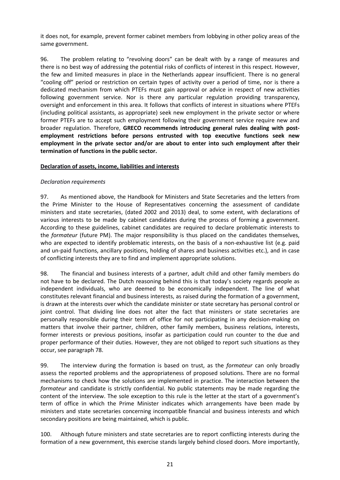it does not, for example, prevent former cabinet members from lobbying in other policy areas of the same government.

96. The problem relating to "revolving doors" can be dealt with by a range of measures and there is no best way of addressing the potential risks of conflicts of interest in this respect. However, the few and limited measures in place in the Netherlands appear insufficient. There is no general "cooling off" period or restriction on certain types of activity over a period of time, nor is there a dedicated mechanism from which PTEFs must gain approval or advice in respect of new activities following government service. Nor is there any particular regulation providing transparency, oversight and enforcement in this area. It follows that conflicts of interest in situations where PTEFs (including political assistants, as appropriate) seek new employment in the private sector or where former PTEFs are to accept such employment following their government service require new and broader regulation. Therefore, **GRECO recommends introducing general rules dealing with postemployment restrictions before persons entrusted with top executive functions seek new employment in the private sector and/or are about to enter into such employment after their termination of functions in the public sector.**

#### <span id="page-20-0"></span>**Declaration of assets, income, liabilities and interests**

#### <span id="page-20-1"></span>*Declaration requirements*

97. As mentioned above, the Handbook for Ministers and State Secretaries and the letters from the Prime Minister to the House of Representatives concerning the assessment of candidate ministers and state secretaries, (dated 2002 and 2013) deal, to some extent, with declarations of various interests to be made by cabinet candidates during the process of forming a government. According to these guidelines, cabinet candidates are required to declare problematic interests to the *formateur* (future PM). The major responsibility is thus placed on the candidates themselves, who are expected to identify problematic interests, on the basis of a non-exhaustive list (e.g. paid and un-paid functions, ancillary positions, holding of shares and business activities etc.), and in case of conflicting interests they are to find and implement appropriate solutions.

98. The financial and business interests of a partner, adult child and other family members do not have to be declared. The Dutch reasoning behind this is that today's society regards people as independent individuals, who are deemed to be economically independent. The line of what constitutes relevant financial and business interests, as raised during the formation of a government, is drawn at the interests over which the candidate minister or state secretary has personal control or joint control. That dividing line does not alter the fact that ministers or state secretaries are personally responsible during their term of office for not participating in any decision-making on matters that involve their partner, children, other family members, business relations, interests, former interests or previous positions, insofar as participation could run counter to the due and proper performance of their duties. However, they are not obliged to report such situations as they occur, see paragraph 78.

99. The interview during the formation is based on trust, as the *formateur* can only broadly assess the reported problems and the appropriateness of proposed solutions. There are no formal mechanisms to check how the solutions are implemented in practice. The interaction between the *formateur* and candidate is strictly confidential. No public statements may be made regarding the content of the interview. The sole exception to this rule is the letter at the start of a government's term of office in which the Prime Minister indicates which arrangements have been made by ministers and state secretaries concerning incompatible financial and business interests and which secondary positions are being maintained, which is public.

100. Although future ministers and state secretaries are to report conflicting interests during the formation of a new government, this exercise stands largely behind closed doors. More importantly,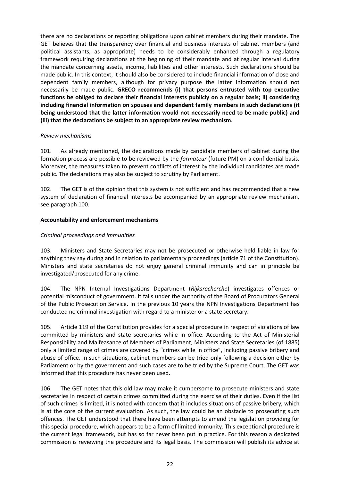there are no declarations or reporting obligations upon cabinet members during their mandate. The GET believes that the transparency over financial and business interests of cabinet members (and political assistants, as appropriate) needs to be considerably enhanced through a regulatory framework requiring declarations at the beginning of their mandate and at regular interval during the mandate concerning assets, income, liabilities and other interests. Such declarations should be made public. In this context, it should also be considered to include financial information of close and dependent family members, although for privacy purpose the latter information should not necessarily be made public. **GRECO recommends (i) that persons entrusted with top executive functions be obliged to declare their financial interests publicly on a regular basis; ii) considering including financial information on spouses and dependent family members in such declarations (it being understood that the latter information would not necessarily need to be made public) and (iii) that the declarations be subject to an appropriate review mechanism.**

#### *Review mechanisms*

101. As already mentioned, the declarations made by candidate members of cabinet during the formation process are possible to be reviewed by the *formateur* (future PM) on a confidential basis. Moreover, the measures taken to prevent conflicts of interest by the individual candidates are made public. The declarations may also be subject to scrutiny by Parliament.

102. The GET is of the opinion that this system is not sufficient and has recommended that a new system of declaration of financial interests be accompanied by an appropriate review mechanism, see paragraph 100.

#### <span id="page-21-0"></span>**Accountability and enforcement mechanisms**

#### <span id="page-21-1"></span>*Criminal proceedings and immunities*

103. Ministers and State Secretaries may not be prosecuted or otherwise held liable in law for anything they say during and in relation to parliamentary proceedings (article 71 of the Constitution). Ministers and state secretaries do not enjoy general criminal immunity and can in principle be investigated/prosecuted for any crime.

104. The NPN Internal Investigations Department (*Rijksrecherche*) investigates offences or potential misconduct of government. It falls under the authority of the Board of Procurators General of the Public Prosecution Service. In the previous 10 years the NPN Investigations Department has conducted no criminal investigation with regard to a minister or a state secretary.

105. Article 119 of the Constitution provides for a special procedure in respect of violations of law committed by ministers and state secretaries while in office. According to the Act of Ministerial Responsibility and Malfeasance of Members of Parliament, Ministers and State Secretaries (of 1885) only a limited range of crimes are covered by "crimes while in office", including passive bribery and abuse of office. In such situations, cabinet members can be tried only following a decision either by Parliament or by the government and such cases are to be tried by the Supreme Court. The GET was informed that this procedure has never been used.

106. The GET notes that this old law may make it cumbersome to prosecute ministers and state secretaries in respect of certain crimes committed during the exercise of their duties. Even if the list of such crimes is limited, it is noted with concern that it includes situations of passive bribery, which is at the core of the current evaluation. As such, the law could be an obstacle to prosecuting such offences. The GET understood that there have been attempts to amend the legislation providing for this special procedure, which appears to be a form of limited immunity. This exceptional procedure is the current legal framework, but has so far never been put in practice. For this reason a dedicated commission is reviewing the procedure and its legal basis. The commission will publish its advice at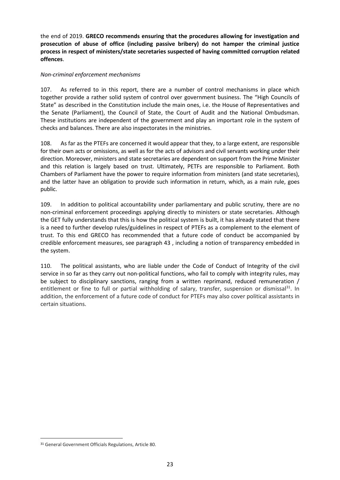the end of 2019. **GRECO recommends ensuring that the procedures allowing for investigation and prosecution of abuse of office (including passive bribery) do not hamper the criminal justice process in respect of ministers/state secretaries suspected of having committed corruption related offences**.

#### <span id="page-22-0"></span>*Non-criminal enforcement mechanisms*

107. As referred to in this report, there are a number of control mechanisms in place which together provide a rather solid system of control over government business. The "High Councils of State" as described in the Constitution include the main ones, i.e. the House of Representatives and the Senate (Parliament), the Council of State, the Court of Audit and the National Ombudsman. These institutions are independent of the government and play an important role in the system of checks and balances. There are also inspectorates in the ministries.

108. As far as the PTEFs are concerned it would appear that they, to a large extent, are responsible for their own acts or omissions, as well as for the acts of advisors and civil servants working under their direction. Moreover, ministers and state secretaries are dependent on support from the Prime Minister and this relation is largely based on trust. Ultimately, PETFs are responsible to Parliament. Both Chambers of Parliament have the power to require information from ministers (and state secretaries), and the latter have an obligation to provide such information in return, which, as a main rule, goes public.

109. In addition to political accountability under parliamentary and public scrutiny, there are no non-criminal enforcement proceedings applying directly to ministers or state secretaries. Although the GET fully understands that this is how the political system is built, it has already stated that there is a need to further develop rules/guidelines in respect of PTEFs as a complement to the element of trust. To this end GRECO has recommended that a future code of conduct be accompanied by credible enforcement measures, see paragraph 43 , including a notion of transparency embedded in the system.

110. The political assistants, who are liable under the Code of Conduct of Integrity of the civil service in so far as they carry out non-political functions, who fail to comply with integrity rules, may be subject to disciplinary sanctions, ranging from a written reprimand, reduced remuneration / entitlement or fine to full or partial withholding of salary, transfer, suspension or dismissal<sup>31</sup>. In addition, the enforcement of a future code of conduct for PTEFs may also cover political assistants in certain situations.

 $\overline{\phantom{a}}$ 

<sup>31</sup> General Government Officials Regulations, Article 80.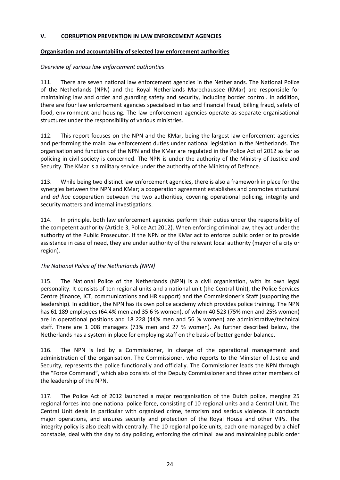#### <span id="page-23-0"></span>**V. CORRUPTION PREVENTION IN LAW ENFORCEMENT AGENCIES**

#### <span id="page-23-1"></span>**Organisation and accountability of selected law enforcement authorities**

#### <span id="page-23-2"></span>*Overview of various law enforcement authorities*

111. There are seven national law enforcement agencies in the Netherlands. The National Police of the Netherlands (NPN) and the Royal Netherlands Marechaussee (KMar) are responsible for maintaining law and order and guarding safety and security, including border control. In addition, there are four law enforcement agencies specialised in tax and financial fraud, billing fraud, safety of food, environment and housing. The law enforcement agencies operate as separate organisational structures under the responsibility of various ministries.

112. This report focuses on the NPN and the KMar, being the largest law enforcement agencies and performing the main law enforcement duties under national legislation in the Netherlands. The organisation and functions of the NPN and the KMar are regulated in the Police Act of 2012 as far as policing in civil society is concerned. The NPN is under the authority of the Ministry of Justice and Security. The KMar is a military service under the authority of the Ministry of Defence.

113. While being two distinct law enforcement agencies, there is also a framework in place for the synergies between the NPN and KMar; a cooperation agreement establishes and promotes structural and *ad hoc* cooperation between the two authorities, covering operational policing, integrity and security matters and internal investigations.

114. In principle, both law enforcement agencies perform their duties under the responsibility of the competent authority (Article 3, Police Act 2012). When enforcing criminal law, they act under the authority of the Public Prosecutor. If the NPN or the KMar act to enforce public order or to provide assistance in case of need, they are under authority of the relevant local authority (mayor of a city or region).

#### <span id="page-23-3"></span>*The National Police of the Netherlands (NPN)*

115. The National Police of the Netherlands (NPN) is a civil organisation, with its own legal personality. It consists of ten regional units and a national unit (the Central Unit), the Police Services Centre (finance, ICT, communications and HR support) and the Commissioner's Staff (supporting the leadership). In addition, the NPN has its own police academy which provides police training. The NPN has 61 189 employees (64.4% men and 35.6 % women), of whom 40 523 (75% men and 25% women) are in operational positions and 18 228 (44% men and 56 % women) are administrative/technical staff. There are 1 008 managers (73% men and 27 % women). As further described below, the Netherlands has a system in place for employing staff on the basis of better gender balance.

116. The NPN is led by a Commissioner, in charge of the operational management and administration of the organisation. The Commissioner, who reports to the Minister of Justice and Security, represents the police functionally and officially. The Commissioner leads the NPN through the "Force Command", which also consists of the Deputy Commissioner and three other members of the leadership of the NPN.

117. The Police Act of 2012 launched a major reorganisation of the Dutch police, merging 25 regional forces into one national police force, consisting of 10 regional units and a Central Unit. The Central Unit deals in particular with organised crime, terrorism and serious violence. It conducts major operations, and ensures security and protection of the Royal House and other VIPs. The integrity policy is also dealt with centrally. The 10 regional police units, each one managed by a chief constable, deal with the day to day policing, enforcing the criminal law and maintaining public order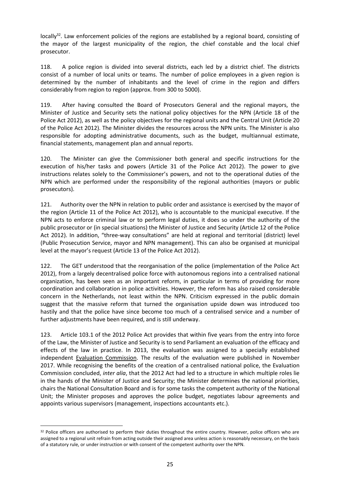locally<sup>32</sup>. Law enforcement policies of the regions are established by a regional board, consisting of the mayor of the largest municipality of the region, the chief constable and the local chief prosecutor.

118. A police region is divided into several districts, each led by a district chief. The districts consist of a number of local units or teams. The number of police employees in a given region is determined by the number of inhabitants and the level of crime in the region and differs considerably from region to region (approx. from 300 to 5000).

119. After having consulted the Board of Prosecutors General and the regional mayors, the Minister of Justice and Security sets the national policy objectives for the NPN (Article 18 of the Police Act 2012), as well as the policy objectives for the regional units and the Central Unit (Article 20 of the Police Act 2012). The Minister divides the resources across the NPN units. The Minister is also responsible for adopting administrative documents, such as the budget, multiannual estimate, financial statements, management plan and annual reports.

120. The Minister can give the Commissioner both general and specific instructions for the execution of his/her tasks and powers (Article 31 of the Police Act 2012). The power to give instructions relates solely to the Commissioner's powers, and not to the operational duties of the NPN which are performed under the responsibility of the regional authorities (mayors or public prosecutors).

121. Authority over the NPN in relation to public order and assistance is exercised by the mayor of the region (Article 11 of the Police Act 2012), who is accountable to the municipal executive. If the NPN acts to enforce criminal law or to perform legal duties, it does so under the authority of the public prosecutor or (in special situations) the Minister of Justice and Security (Article 12 of the Police Act 2012). In addition, "three-way consultations" are held at regional and territorial (district) level (Public Prosecution Service, mayor and NPN management). This can also be organised at municipal level at the mayor's request (Article 13 of the Police Act 2012).

122. The GET understood that the reorganisation of the police (implementation of the Police Act 2012), from a largely decentralised police force with autonomous regions into a centralised national organization, has been seen as an important reform, in particular in terms of providing for more coordination and collaboration in police activities. However, the reform has also raised considerable concern in the Netherlands, not least within the NPN. Criticism expressed in the public domain suggest that the massive reform that turned the organisation upside down was introduced too hastily and that the police have since become too much of a centralised service and a number of further adjustments have been required, and is still underway.

123. Article 103.1 of the 2012 Police Act provides that within five years from the entry into force of the Law, the Minister of Justice and Security is to send Parliament an evaluation of the efficacy and effects of the law in practice. In 2013, the evaluation was assigned to a specially established independent Evaluation Commission. The results of the evaluation were published in November 2017. While recognising the benefits of the creation of a centralised national police, the Evaluation Commission concluded, *inter alia*, that the 2012 Act had led to a structure in which multiple roles lie in the hands of the Minister of Justice and Security; the Minister determines the national priorities, chairs the National Consultation Board and is for some tasks the competent authority of the National Unit; the Minister proposes and approves the police budget, negotiates labour agreements and appoints various supervisors (management, inspections accountants etc.).

 $\overline{a}$ 

<sup>&</sup>lt;sup>32</sup> Police officers are authorised to perform their duties throughout the entire country. However, police officers who are assigned to a regional unit refrain from acting outside their assigned area unless action is reasonably necessary, on the basis of a statutory rule, or under instruction or with consent of the competent authority over the NPN.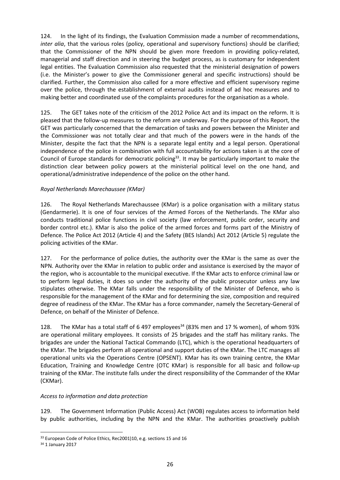124. In the light of its findings, the Evaluation Commission made a number of recommendations, *inter alia*, that the various roles (policy, operational and supervisory functions) should be clarified; that the Commissioner of the NPN should be given more freedom in providing policy-related, managerial and staff direction and in steering the budget process, as is customary for independent legal entities. The Evaluation Commission also requested that the ministerial designation of powers (i.e. the Minister's power to give the Commissioner general and specific instructions) should be clarified. Further, the Commission also called for a more effective and efficient supervisory regime over the police, through the establishment of external audits instead of ad hoc measures and to making better and coordinated use of the complaints procedures for the organisation as a whole.

125. The GET takes note of the criticism of the 2012 Police Act and its impact on the reform. It is pleased that the follow-up measures to the reform are underway. For the purpose of this Report, the GET was particularly concerned that the demarcation of tasks and powers between the Minister and the Commissioner was not totally clear and that much of the powers were in the hands of the Minister, despite the fact that the NPN is a separate legal entity and a legal person. Operational independence of the police in combination with full accountability for actions taken is at the core of Council of Europe standards for democratic policing<sup>33</sup>. It may be particularly important to make the distinction clear between policy powers at the ministerial political level on the one hand, and operational/administrative independence of the police on the other hand.

#### <span id="page-25-0"></span>*Royal Netherlands Marechaussee (KMar)*

126. The Royal Netherlands Marechaussee (KMar) is a police organisation with a military status (Gendarmerie). It is one of four services of the Armed Forces of the Netherlands. The KMar also conducts traditional police functions in civil society (law enforcement, public order, security and border control etc.). KMar is also the police of the armed forces and forms part of the Ministry of Defence. [The Police Act 2012](http://wetten.overheid.nl/BWBR0031788#Hoofdstuk2) (Article 4) and [the Safety \(BES Islands\) Act 2012](http://wetten.overheid.nl/BWBR0028586#Hoofdstuk2) (Article 5) regulate the policing activities of the KMar.

127. For the performance of police duties, the authority over the KMar is the same as over the NPN. Authority over the KMar in relation to public order and assistance is exercised by the mayor of the region, who is accountable to the municipal executive. If the KMar acts to enforce criminal law or to perform legal duties, it does so under the authority of the public prosecutor unless any law stipulates otherwise. The KMar falls under the responsibility of the Minister of Defence, who is responsible for the management of the KMar and for determining the size, composition and required degree of readiness of the KMar. The KMar has a force commander, namely the Secretary-General of Defence, on behalf of the Minister of Defence.

128. The KMar has a total staff of 6 497 employees<sup>34</sup> (83% men and 17 % women), of whom 93% are operational military employees. It consists of 25 brigades and the staff has military ranks. The brigades are under the National Tactical Commando (LTC), which is the operational headquarters of the KMar. The brigades perform all operational and support duties of the KMar. The LTC manages all operational units via the Operations Centre (OPSENT). KMar has its own training centre, the KMar Education, Training and Knowledge Centre (OTC KMar) is responsible for all basic and follow-up training of the KMar. The institute falls under the direct responsibility of the Commander of the KMar (CKMar).

#### <span id="page-25-1"></span>*Access to information and data protection*

129. The Government Information (Public Access) Act (WOB) regulates access to information held by public authorities, including by the NPN and the KMar. The authorities proactively publish

 $\overline{\phantom{a}}$ <sup>33</sup> European Code of Police Ethics, Rec2001)10, e.g. sections 15 and 16

<sup>34</sup> 1 January 2017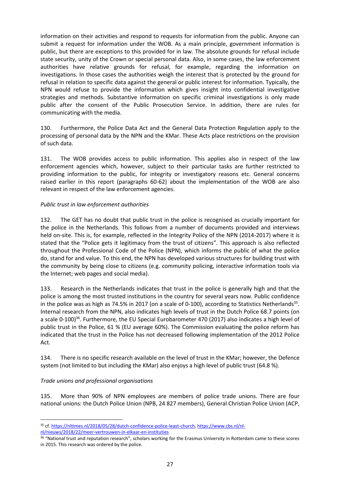information on their activities and respond to requests for information from the public. Anyone can submit a request for information under the WOB. As a main principle, government information is public, but there are exceptions to this provided for in law. The absolute grounds for refusal include state security, unity of the Crown or special personal data. Also, in some cases, the law enforcement authorities have relative grounds for refusal, for example, regarding the information on investigations. In those cases the authorities weigh the interest that is protected by the ground for refusal in relation to specific data against the general or public interest for information. Typically, the NPN would refuse to provide the information which gives insight into confidential investigative strategies and methods. Substantive information on specific criminal investigations is only made public after the consent of the Public Prosecution Service. In addition, there are rules for communicating with the media.

130. Furthermore, the Police Data Act and the General Data Protection Regulation apply to the processing of personal data by the NPN and the KMar. These Acts place restrictions on the provision of such data.

131. The WOB provides access to public information. This applies also in respect of the law enforcement agencies which, however, subject to their particular tasks are further restricted to providing information to the public, for integrity or investigatory reasons etc. General concerns raised earlier in this report (paragraphs 60-62) about the implementation of the WOB are also relevant in respect of the law enforcement agencies.

#### <span id="page-26-0"></span>*Public trust in law enforcement authorities*

132. The GET has no doubt that public trust in the police is recognised as crucially important for the police in the Netherlands. This follows from a number of documents provided and interviews held on-site. This is, for example, reflected in the Integrity Policy of the NPN (2014-2017) where it is stated that the "Police gets it legitimacy from the trust of citizens". This approach is also reflected throughout the Professional Code of the Police (NPN), which informs the public of what the police do, stand for and value. To this end, the NPN has developed various structures for building trust with the community by being close to citizens (e.g. community policing, interactive information tools via the Internet; web pages and social media).

133. Research in the Netherlands indicates that trust in the police is generally high and that the police is among the most trusted institutions in the country for several years now. Public confidence in the police was as high as 74.5% in 2017 (on a scale of 0-100), according to Statistics Netherlands<sup>35</sup>. Internal research from the NPN, also indicates high levels of trust in the Dutch Police 68.7 points (on a scale 0-100)<sup>36</sup>. Furthermore, the EU Special Eurobarometer 470 (2017) also indicates a high level of public trust in the Police, 61 % (EU average 60%). The Commission evaluating the police reform has indicated that the trust in the Police has not decreased following implementation of the 2012 Police Act.

134. There is no specific research available on the level of trust in the KMar; however, the Defence system (not limited to but including the KMar) also enjoys a high level of public trust (64.8 %).

#### <span id="page-26-1"></span>*Trade unions and professional organisations*

 $\overline{a}$ 

135. More than 90% of NPN employees are members of police trade unions. There are four national unions: the Dutch Police Union (NPB, 24 827 members), General Christian Police Union (ACP,

<sup>35</sup> cf. [https://nltimes.nl/2018/05/28/dutch-confidence-police-least-church,](https://nltimes.nl/2018/05/28/dutch-confidence-police-least-church) [https://www.cbs.nl/nl-](https://www.cbs.nl/nl-nl/nieuws/2018/22/meer-vertrouwen-in-elkaar-en-instituties)

[nl/nieuws/2018/22/meer-vertrouwen-in-elkaar-en-instituties](https://www.cbs.nl/nl-nl/nieuws/2018/22/meer-vertrouwen-in-elkaar-en-instituties)

<sup>36</sup> "National trust and reputation research", scholars working for the Erasmus University in Rotterdam came to these scores in 2015. This research was ordered by the police.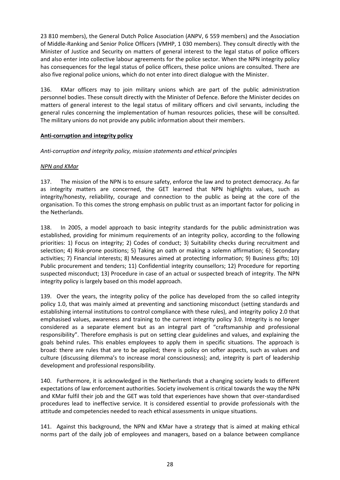23 810 members), the General Dutch Police Association (ANPV, 6 559 members) and the Association of Middle-Ranking and Senior Police Officers (VMHP, 1 030 members). They consult directly with the Minister of Justice and Security on matters of general interest to the legal status of police officers and also enter into collective labour agreements for the police sector. When the NPN integrity policy has consequences for the legal status of police officers, these police unions are consulted. There are also five regional police unions, which do not enter into direct dialogue with the Minister.

136. KMar officers may to join military unions which are part of the public administration personnel bodies. These consult directly with the Minister of Defence. Before the Minister decides on matters of general interest to the legal status of military officers and civil servants, including the general rules concerning the implementation of human resources policies, these will be consulted. The military unions do not provide any public information about their members.

#### <span id="page-27-0"></span>**Anti-corruption and integrity policy**

<span id="page-27-1"></span>*Anti-corruption and integrity policy, mission statements and ethical principles*

#### *NPN and KMar*

137. The mission of the NPN is to ensure safety, enforce the law and to protect democracy. As far as integrity matters are concerned, the GET learned that NPN highlights values, such as integrity/honesty, reliability, courage and connection to the public as being at the core of the organisation. To this comes the strong emphasis on public trust as an important factor for policing in the Netherlands.

138. In 2005, a model approach to basic integrity standards for the public administration was established, providing for minimum requirements of an integrity policy, according to the following priorities: 1) Focus on integrity; 2) Codes of conduct; 3) Suitability checks during recruitment and selection; 4) Risk-prone positions; 5) Taking an oath or making a solemn affirmation; 6) Secondary activities; 7) Financial interests; 8) Measures aimed at protecting information; 9) Business gifts; 10) Public procurement and tenders; 11) Confidential integrity counsellors; 12) Procedure for reporting suspected misconduct; 13) Procedure in case of an actual or suspected breach of integrity. The NPN integrity policy is largely based on this model approach.

139. Over the years, the integrity policy of the police has developed from the so called integrity policy 1.0, that was mainly aimed at preventing and sanctioning misconduct (setting standards and establishing internal institutions to control compliance with these rules), and integrity policy 2.0 that emphasised values, awareness and training to the current integrity policy 3.0. Integrity is no longer considered as a separate element but as an integral part of "craftsmanship and professional responsibility". Therefore emphasis is put on setting clear guidelines and values, and explaining the goals behind rules. This enables employees to apply them in specific situations. The approach is broad: there are rules that are to be applied; there is policy on softer aspects, such as values and culture (discussing dilemma's to increase moral consciousness); and, integrity is part of leadership development and professional responsibility.

140. Furthermore, it is acknowledged in the Netherlands that a changing society leads to different expectations of law enforcement authorities. Society involvement is critical towards the way the NPN and KMar fulfil their job and the GET was told that experiences have shown that over-standardised procedures lead to ineffective service. It is considered essential to provide professionals with the attitude and competencies needed to reach ethical assessments in unique situations.

141. Against this background, the NPN and KMar have a strategy that is aimed at making ethical norms part of the daily job of employees and managers, based on a balance between compliance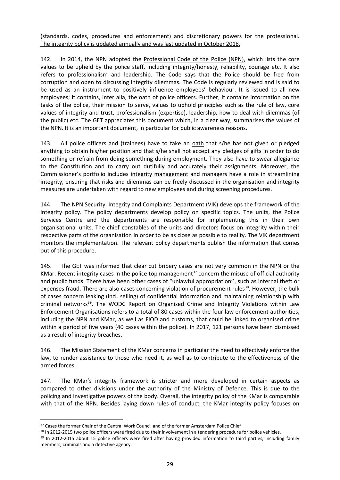(standards, codes, procedures and enforcement) and discretionary powers for the professional. The integrity policy is updated annually and was last updated in October 2018.

142. In 2014, the NPN adopted the Professional Code of the Police (NPN), which lists the core values to be upheld by the police staff, including integrity/honesty, reliability, courage etc. It also refers to professionalism and leadership. The Code says that the Police should be free from corruption and open to discussing integrity dilemmas. The Code is regularly reviewed and is said to be used as an instrument to positively influence employees' behaviour. It is issued to all new employees; it contains, inter alia, the oath of police officers. Further, it contains information on the tasks of the police, their mission to serve, values to uphold principles such as the rule of law, core values of integrity and trust, professionalism (expertise), leadership, how to deal with dilemmas (of the public) etc. The GET appreciates this document which, in a clear way, summarises the values of the NPN. It is an important document, in particular for public awareness reasons.

143. All police officers and (trainees) have to take an oath that s/he has not given or pledged anything to obtain his/her position and that s/he shall not accept any pledges of gifts in order to do something or refrain from doing something during employment. They also have to swear allegiance to the Constitution and to carry out dutifully and accurately their assignments. Moreover, the Commissioner's portfolio includes integrity management and managers have a role in streamlining integrity, ensuring that risks and dilemmas can be freely discussed in the organisation and integrity measures are undertaken with regard to new employees and during screening procedures.

144. The NPN Security, Integrity and Complaints Department (VIK) develops the framework of the integrity policy. The policy departments develop policy on specific topics. The units, the Police Services Centre and the departments are responsible for implementing this in their own organisational units. The chief constables of the units and directors focus on integrity within their respective parts of the organisation in order to be as close as possible to reality. The VIK department monitors the implementation. The relevant policy departments publish the information that comes out of this procedure.

145. The GET was informed that clear cut bribery cases are not very common in the NPN or the KMar. Recent integrity cases in the police top management<sup>37</sup> concern the misuse of official authority and public funds. There have been other cases of "unlawful appropriation'', such as internal theft or expenses fraud. There are also cases concerning violation of procurement rules<sup>38</sup>. However, the bulk of cases concern leaking (incl. selling) of confidential information and maintaining relationship with criminal networks<sup>39</sup>. The WODC Report on Organised Crime and Integrity Violations within Law Enforcement Organisations refers to a total of 80 cases within the four law enforcement authorities, including the NPN and KMar, as well as FIOD and customs, that could be linked to organised crime within a period of five years (40 cases within the police). In 2017, 121 persons have been dismissed as a result of integrity breaches.

146. The Mission Statement of the KMar concerns in particular the need to effectively enforce the law, to render assistance to those who need it, as well as to contribute to the effectiveness of the armed forces.

147. The KMar's integrity framework is stricter and more developed in certain aspects as compared to other divisions under the authority of the Ministry of Defence. This is due to the policing and investigative powers of the body. Overall, the integrity policy of the KMar is comparable with that of the NPN. Besides laying down rules of conduct, the KMar integrity policy focuses on

 $\overline{a}$ 

<sup>&</sup>lt;sup>37</sup> Cases the former Chair of the Central Work Council and of the former Amsterdam Police Chief

<sup>&</sup>lt;sup>38</sup> In 2012-2015 two police officers were fired due to their involvement in a tendering procedure for police vehicles.

<sup>&</sup>lt;sup>39</sup> In 2012-2015 about 15 police officers were fired after having provided information to third parties, including family members, criminals and a detective agency.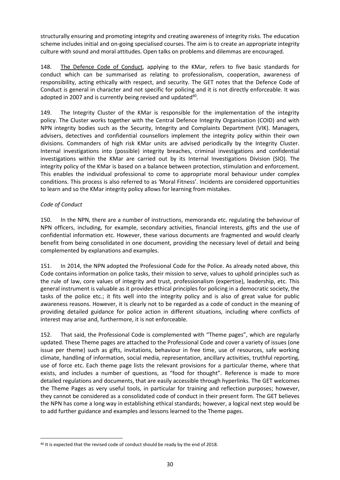structurally ensuring and promoting integrity and creating awareness of integrity risks. The education scheme includes initial and on-going specialised courses. The aim is to create an appropriate integrity culture with sound and moral attitudes. Open talks on problems and dilemmas are encouraged.

148. The Defence Code of Conduct, applying to the KMar, refers to five basic standards for conduct which can be summarised as relating to professionalism, cooperation, awareness of responsibility, acting ethically with respect, and security. The GET notes that the Defence Code of Conduct is general in character and not specific for policing and it is not directly enforceable. It was adopted in 2007 and is currently being revised and updated<sup>40</sup>.

149. The Integrity Cluster of the KMar is responsible for the implementation of the integrity policy. The Cluster works together with the Central Defence Integrity Organisation (COID) and with NPN integrity bodies such as the Security, Integrity and Complaints Department (VIK). Managers, advisers, detectives and confidential counsellors implement the integrity policy within their own divisions. Commanders of high risk KMar units are advised periodically by the Integrity Cluster. Internal investigations into (possible) integrity breaches, criminal investigations and confidential investigations within the KMar are carried out by its Internal Investigations Division (SIO). The integrity policy of the KMar is based on a balance between protection, stimulation and enforcement. This enables the individual professional to come to appropriate moral behaviour under complex conditions. This process is also referred to as 'Moral Fitness'. Incidents are considered opportunities to learn and so the KMar integrity policy allows for learning from mistakes.

#### *Code of Conduct*

 $\overline{\phantom{a}}$ 

150. In the NPN, there are a number of instructions, memoranda etc. regulating the behaviour of NPN officers, including, for example, secondary activities, financial interests, gifts and the use of confidential information etc. However, these various documents are fragmented and would clearly benefit from being consolidated in one document, providing the necessary level of detail and being complemented by explanations and examples.

151. In 2014, the NPN adopted the Professional Code for the Police. As already noted above, this Code contains information on police tasks, their mission to serve, values to uphold principles such as the rule of law, core values of integrity and trust, professionalism (expertise), leadership, etc. This general instrument is valuable as it provides ethical principles for policing in a democratic society, the tasks of the police etc.; it fits well into the integrity policy and is also of great value for public awareness reasons. However, it is clearly not to be regarded as a code of conduct in the meaning of providing detailed guidance for police action in different situations, including where conflicts of interest may arise and, furthermore, it is not enforceable.

152. That said, the Professional Code is complemented with "Theme pages", which are regularly updated. These Theme pages are attached to the Professional Code and cover a variety of issues (one issue per theme) such as gifts, invitations, behaviour in free time, use of resources, safe working climate, handling of information, social media, representation, ancillary activities, truthful reporting, use of force etc. Each theme page lists the relevant provisions for a particular theme, where that exists, and includes a number of questions, as "food for thought". Reference is made to more detailed regulations and documents, that are easily accessible through hyperlinks. The GET welcomes the Theme Pages as very useful tools, in particular for training and reflection purposes; however, they cannot be considered as a consolidated code of conduct in their present form. The GET believes the NPN has come a long way in establishing ethical standards; however, a logical next step would be to add further guidance and examples and lessons learned to the Theme pages.

<sup>&</sup>lt;sup>40</sup> It is expected that the revised code of conduct should be ready by the end of 2018.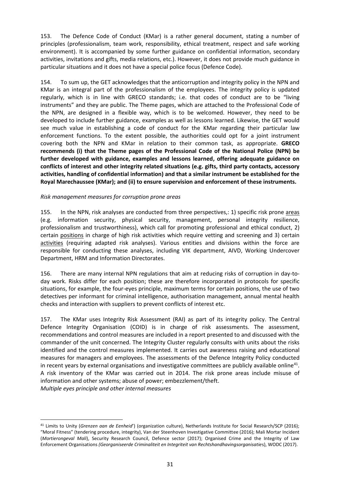153. The Defence Code of Conduct (KMar) is a rather general document, stating a number of principles (professionalism, team work, responsibility, ethical treatment, respect and safe working environment). It is accompanied by some further guidance on confidential information, secondary activities, invitations and gifts, media relations, etc.). However, it does not provide much guidance in particular situations and it does not have a special police focus (Defence Code).

154. To sum up, the GET acknowledges that the anticorruption and integrity policy in the NPN and KMar is an integral part of the professionalism of the employees. The integrity policy is updated regularly, which is in line with GRECO standards; i.e. that codes of conduct are to be "living instruments" and they are public. The Theme pages, which are attached to the Professional Code of the NPN, are designed in a flexible way, which is to be welcomed. However, they need to be developed to include further guidance, examples as well as lessons learned. Likewise, the GET would see much value in establishing a code of conduct for the KMar regarding their particular law enforcement functions. To the extent possible, the authorities could opt for a joint instrument covering both the NPN and KMar in relation to their common task, as appropriate. **GRECO recommends (i) that the Theme pages of the Professional Code of the National Police (NPN) be further developed with guidance, examples and lessons learned, offering adequate guidance on conflicts of interest and other integrity related situations (e.g. gifts, third party contacts, accessory activities, handling of confidential information) and that a similar instrument be established for the Royal Marechaussee (KMar); and (ii) to ensure supervision and enforcement of these instruments.**

#### <span id="page-30-0"></span>*Risk management measures for corruption prone areas*

 $\overline{a}$ 

155. In the NPN, risk analyses are conducted from three perspectives,: 1) specific risk prone areas (e.g. information security, physical security, management, personal integrity resilience, professionalism and trustworthiness), which call for promoting professional and ethical conduct, 2) certain positions in charge of high risk activities which require vetting and screening and 3) certain activities (requiring adapted risk analyses). Various entities and divisions within the force are responsible for conducting these analyses, including VIK department, AIVD, Working Undercover Department, HRM and Information Directorates.

156. There are many internal NPN regulations that aim at reducing risks of corruption in day-today work. Risks differ for each position; these are therefore incorporated in protocols for specific situations, for example, the four-eyes principle, maximum terms for certain positions, the use of two detectives per informant for criminal intelligence, authorisation management, annual mental health checks and interaction with suppliers to prevent conflicts of interest etc.

157. The KMar uses Integrity Risk Assessment (RAI) as part of its integrity policy. The Central Defence Integrity Organisation (COID) is in charge of risk assessments. The assessment, recommendations and control measures are included in a report presented to and discussed with the commander of the unit concerned. The Integrity Cluster regularly consults with units about the risks identified and the control measures implemented. It carries out awareness raising and educational measures for managers and employees. The assessments of the Defence Integrity Policy conducted in recent years by external organisations and investigative committees are publicly available online<sup>41</sup>. A risk inventory of the KMar was carried out in 2014. The risk prone areas include misuse of information and other systems; abuse of power; embezzlement/theft. *Multiple eyes principle and other internal measures*

<sup>41</sup> Limits to Unity (*Grenzen aan de Eenheid*') (organization culture), Netherlands Institute for Social Research/SCP (2016); "Moral Fitness" (tendering procedure, integrity), Van der Steenhoven Investigative Committee (2016); Mali Mortar Incident (*Mortierongeval Mali*), Security Research Council, Defence sector (2017); Organised Crime and the Integrity of Law Enforcement Organisations *(Georganiseerde Criminaliteit en Integriteit van Rechtshandhavingsorganisatie*s), WODC (2017).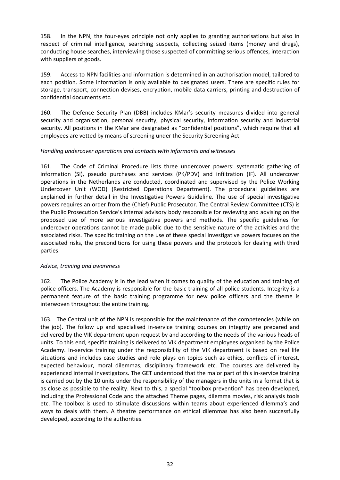158. In the NPN, the four-eyes principle not only applies to granting authorisations but also in respect of criminal intelligence, searching suspects, collecting seized items (money and drugs), conducting house searches, interviewing those suspected of committing serious offences, interaction with suppliers of goods.

159. Access to NPN facilities and information is determined in an authorisation model, tailored to each position. Some information is only available to designated users. There are specific rules for storage, transport, connection devises, encryption, mobile data carriers, printing and destruction of confidential documents etc.

160. The Defence Security Plan (DBB) includes KMar's security measures divided into general security and organisation, personal security, physical security, information security and industrial security. All positions in the KMar are designated as "confidential positions", which require that all employees are vetted by means of screening under the Security Screening Act.

#### *Handling undercover operations and contacts with informants and witnesses*

161. The Code of Criminal Procedure lists three undercover powers: systematic gathering of information (SI), pseudo purchases and services (PK/PDV) and infiltration (IF). All undercover operations in the Netherlands are conducted, coordinated and supervised by the Police Working Undercover Unit (WOD) (Restricted Operations Department). The procedural guidelines are explained in further detail in the Investigative Powers Guideline. The use of special investigative powers requires an order from the (Chief) Public Prosecutor. The Central Review Committee (CTS) is the Public Prosecution Service's internal advisory body responsible for reviewing and advising on the proposed use of more serious investigative powers and methods. The specific guidelines for undercover operations cannot be made public due to the sensitive nature of the activities and the associated risks. The specific training on the use of these special investigative powers focuses on the associated risks, the preconditions for using these powers and the protocols for dealing with third parties.

#### *Advice, training and awareness*

162. The Police Academy is in the lead when it comes to quality of the education and training of police officers. The Academy is responsible for the basic training of all police students. Integrity is a permanent feature of the basic training programme for new police officers and the theme is interwoven throughout the entire training.

163. The Central unit of the NPN is responsible for the maintenance of the competencies (while on the job). The follow up and specialised in-service training courses on integrity are prepared and delivered by the VIK department upon request by and according to the needs of the various heads of units. To this end, specific training is delivered to VIK department employees organised by the Police Academy. In-service training under the responsibility of the VIK department is based on real life situations and includes case studies and role plays on topics such as ethics, conflicts of interest, expected behaviour, moral dilemmas, disciplinary framework etc. The courses are delivered by experienced internal investigators. The GET understood that the major part of this in-service training is carried out by the 10 units under the responsibility of the managers in the units in a format that is as close as possible to the reality. Next to this, a special "toolbox prevention" has been developed, including the Professional Code and the attached Theme pages, dilemma movies, risk analysis tools etc. The toolbox is used to stimulate discussions within teams about experienced dilemma's and ways to deals with them. A theatre performance on ethical dilemmas has also been successfully developed, according to the authorities.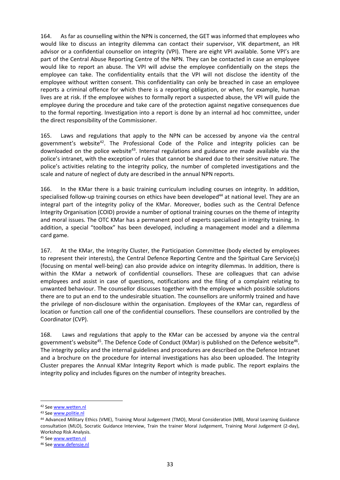164. As far as counselling within the NPN is concerned, the GET was informed that employees who would like to discuss an integrity dilemma can contact their supervisor, VIK department, an HR advisor or a confidential counsellor on integrity (VPI). There are eight VPI available. Some VPI's are part of the Central Abuse Reporting Centre of the NPN. They can be contacted in case an employee would like to report an abuse. The VPI will advise the employee confidentially on the steps the employee can take. The confidentiality entails that the VPI will not disclose the identity of the employee without written consent. This confidentiality can only be breached in case an employee reports a criminal offence for which there is a reporting obligation, or when, for example, human lives are at risk. If the employee wishes to formally report a suspected abuse, the VPI will guide the employee during the procedure and take care of the protection against negative consequences due to the formal reporting. Investigation into a report is done by an internal ad hoc committee, under the direct responsibility of the Commissioner.

165. Laws and regulations that apply to the NPN can be accessed by anyone via the central government's website<sup>42</sup>. The Professional Code of the Police and integrity policies can be downloaded on the police website<sup>43</sup>. Internal regulations and guidance are made available via the police's intranet, with the exception of rules that cannot be shared due to their sensitive nature. The police's activities relating to the integrity policy, the number of completed investigations and the scale and nature of neglect of duty are described in the annual NPN reports.

166. In the KMar there is a basic training curriculum including courses on integrity. In addition, specialised follow-up training courses on ethics have been developed<sup>44</sup> at national level. They are an integral part of the integrity policy of the KMar. Moreover, bodies such as the Central Defence Integrity Organisation (COID) provide a number of optional training courses on the theme of integrity and moral issues. The OTC KMar has a permanent pool of experts specialised in integrity training. In addition, a special "toolbox" has been developed, including a management model and a dilemma card game.

167. At the KMar, the Integrity Cluster, the Participation Committee (body elected by employees to represent their interests), the Central Defence Reporting Centre and the Spiritual Care Service(s) (focusing on mental well-being) can also provide advice on integrity dilemmas. In addition, there is within the KMar a network of confidential counsellors. These are colleagues that can advise employees and assist in case of questions, notifications and the filing of a complaint relating to unwanted behaviour. The counsellor discusses together with the employee which possible solutions there are to put an end to the undesirable situation. The counsellors are uniformly trained and have the privilege of non-disclosure within the organisation. Employees of the KMar can, regardless of location or function call one of the confidential counsellors. These counsellors are controlled by the Coordinator (CVP).

168. Laws and regulations that apply to the KMar can be accessed by anyone via the central government's website<sup>45</sup>. The Defence Code of Conduct (KMar) is published on the Defence website<sup>46</sup>. The integrity policy and the internal guidelines and procedures are described on the Defence Intranet and a brochure on the procedure for internal investigations has also been uploaded. The Integrity Cluster prepares the Annual KMar Integrity Report which is made public. The report explains the integrity policy and includes figures on the number of integrity breaches.

 $\overline{a}$ 

<sup>42</sup> See [www.wetten.nl](http://www.wetten.nl/)

<sup>43</sup> See [www.politie.nl](http://www.politie.nl/)

<sup>44</sup> Advanced Military Ethics (VME), Training Moral Judgement (TMO), Moral Consideration (MB), Moral Learning Guidance consultation (MLO), Socratic Guidance Interview, Train the trainer Moral Judgement, Training Moral Judgement (2-day), Workshop Risk Analysis.

<sup>45</sup> See [www.wetten.nl](http://www.wetten.nl/)

<sup>46</sup> See [www.defensie.nl](http://www.defensie.nl/)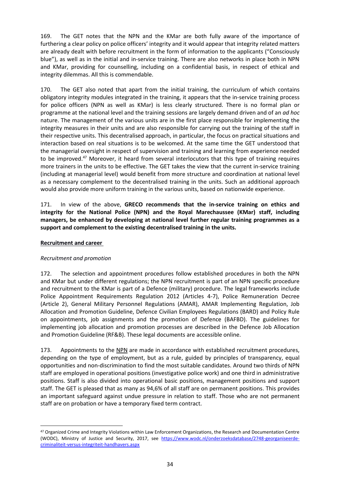169. The GET notes that the NPN and the KMar are both fully aware of the importance of furthering a clear policy on police officers' integrity and it would appear that integrity related matters are already dealt with before recruitment in the form of information to the applicants ("Consciously blue"), as well as in the initial and in-service training. There are also networks in place both in NPN and KMar, providing for counselling, including on a confidential basis, in respect of ethical and integrity dilemmas. All this is commendable.

170. The GET also noted that apart from the initial training, the curriculum of which contains obligatory integrity modules integrated in the training, it appears that the in-service training process for police officers (NPN as well as KMar) is less clearly structured. There is no formal plan or programme at the national level and the training sessions are largely demand driven and of an *ad hoc* nature. The management of the various units are in the first place responsible for implementing the integrity measures in their units and are also responsible for carrying out the training of the staff in their respective units. This decentralised approach, in particular, the focus on practical situations and interaction based on real situations is to be welcomed. At the same time the GET understood that the managerial oversight in respect of supervision and training and learning from experience needed to be improved.<sup>47</sup> Moreover, it heard from several interlocutors that this type of training requires more trainers in the units to be effective. The GET takes the view that the current in-service training (including at managerial level) would benefit from more structure and coordination at national level as a necessary complement to the decentralised training in the units. Such an additional approach would also provide more uniform training in the various units, based on nationwide experience.

171. In view of the above, **GRECO recommends that the in-service training on ethics and integrity for the National Police (NPN) and the Royal Marechaussee (KMar) staff, including managers, be enhanced by developing at national level further regular training programmes as a support and complement to the existing decentralised training in the units.**

#### <span id="page-33-0"></span>**Recruitment and career**

 $\overline{a}$ 

#### <span id="page-33-1"></span>*Recruitment and promotion*

172. The selection and appointment procedures follow established procedures in both the NPN and KMar but under different regulations; the NPN recruitment is part of an NPN specific procedure and recruitment to the KMar is part of a Defence (military) procedure. The legal frameworks include Police Appointment Requirements Regulation 2012 (Articles 4-7), Police Remuneration Decree (Article 2), General Military Personnel Regulations (AMAR), AMAR Implementing Regulation, Job Allocation and Promotion Guideline, Defence Civilian Employees Regulations (BARD) and Policy Rule on appointments, job assignments and the promotion of Defence (BAFBD). The guidelines for implementing job allocation and promotion processes are described in the Defence Job Allocation and Promotion Guideline (RF&B). These legal documents are accessible online.

173. Appointments to the NPN are made in accordance with established recruitment procedures, depending on the type of employment, but as a rule, guided by principles of transparency, equal opportunities and non-discrimination to find the most suitable candidates. Around two thirds of NPN staff are employed in operational positions (investigative police work) and one third in administrative positions. Staff is also divided into operational basic positions, management positions and support staff. The GET is pleased that as many as 94,6% of all staff are on permanent positions. This provides an important safeguard against undue pressure in relation to staff. Those who are not permanent staff are on probation or have a temporary fixed term contract.

<sup>&</sup>lt;sup>47</sup> Organized Crime and Integrity Violations within Law Enforcement Organizations, the Research and Documentation Centre (WODC), Ministry of Justice and Security, 2017, see [https://www.wodc.nl/onderzoeksdatabase/2748-georganiseerde](https://www.wodc.nl/onderzoeksdatabase/2748-georganiseerde-criminaliteit-versus-integriteit-handhavers.aspx)[criminaliteit-versus-integriteit-handhavers.aspx](https://www.wodc.nl/onderzoeksdatabase/2748-georganiseerde-criminaliteit-versus-integriteit-handhavers.aspx)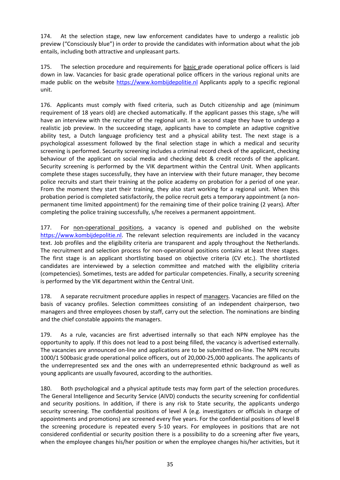174. At the selection stage, new law enforcement candidates have to undergo a realistic job preview ("Consciously blue") in order to provide the candidates with information about what the job entails, including both attractive and unpleasant parts.

175. The selection procedure and requirements for basic grade operational police officers is laid down in law. Vacancies for basic grade operational police officers in the various regional units are made public on the website [https://www.kombijdepolitie.nl](https://www.kombijdepolitie.nl/) Applicants apply to a specific regional unit.

176. Applicants must comply with fixed criteria, such as Dutch citizenship and age (minimum requirement of 18 years old) are checked automatically. If the applicant passes this stage, s/he will have an interview with the recruiter of the regional unit. In a second stage they have to undergo a realistic job preview. In the succeeding stage, applicants have to complete an adaptive cognitive ability test, a Dutch language proficiency test and a physical ability test. The next stage is a psychological assessment followed by the final selection stage in which a medical and security screening is performed. Security screening includes a criminal record check of the applicant, checking behaviour of the applicant on social media and checking debt & credit records of the applicant. Security screening is performed by the VIK department within the Central Unit. When applicants complete these stages successfully, they have an interview with their future manager, they become police recruits and start their training at the police academy on probation for a period of one year. From the moment they start their training, they also start working for a regional unit. When this probation period is completed satisfactorily, the police recruit gets a temporary appointment (a nonpermanent time limited appointment) for the remaining time of their police training (2 years). After completing the police training successfully, s/he receives a permanent appointment.

177. For non-operational positions, a vacancy is opened and published on the website [https://www.kombijdepolitie.nl.](https://www.kombijdepolitie.nl/) The relevant selection requirements are included in the vacancy text. Job profiles and the eligibility criteria are transparent and apply throughout the Netherlands. The recruitment and selection process for non-operational positions contains at least three stages. The first stage is an applicant shortlisting based on objective criteria (CV etc.). The shortlisted candidates are interviewed by a selection committee and matched with the eligibility criteria (competencies). Sometimes, tests are added for particular competencies. Finally, a security screening is performed by the VIK department within the Central Unit.

178. A separate recruitment procedure applies in respect of managers. Vacancies are filled on the basis of vacancy profiles. Selection committees consisting of an independent chairperson, two managers and three employees chosen by staff, carry out the selection. The nominations are binding and the chief constable appoints the managers.

179. As a rule, vacancies are first advertised internally so that each NPN employee has the opportunity to apply. If this does not lead to a post being filled, the vacancy is advertised externally. The vacancies are announced on-line and applications are to be submitted on-line. The NPN recruits 1000/1 500basic grade operational police officers, out of 20,000-25,000 applicants. The applicants of the underrepresented sex and the ones with an underrepresented ethnic background as well as young applicants are usually favoured, according to the authorities.

180. Both psychological and a physical aptitude tests may form part of the selection procedures. The General Intelligence and Security Service (AIVD) conducts the security screening for confidential and security positions. In addition, if there is any risk to State security, the applicants undergo security screening. The confidential positions of level A (e.g. investigators or officials in charge of appointments and promotions) are screened every five years. For the confidential positions of level B the screening procedure is repeated every 5-10 years. For employees in positions that are not considered confidential or security position there is a possibility to do a screening after five years, when the employee changes his/her position or when the employee changes his/her activities, but it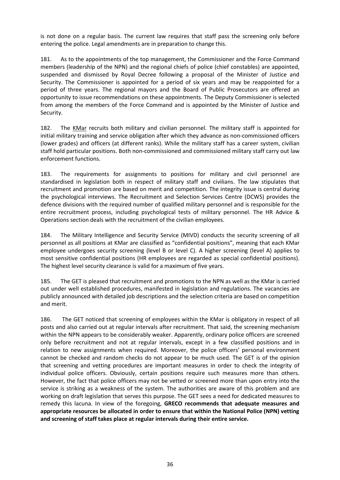is not done on a regular basis. The current law requires that staff pass the screening only before entering the police. Legal amendments are in preparation to change this.

181. As to the appointments of the top management, the Commissioner and the Force Command members (leadership of the NPN) and the regional chiefs of police (chief constables) are appointed, suspended and dismissed by Royal Decree following a proposal of the Minister of Justice and Security. The Commissioner is appointed for a period of six years and may be reappointed for a period of three years. The regional mayors and the Board of Public Prosecutors are offered an opportunity to issue recommendations on these appointments. The Deputy Commissioner is selected from among the members of the Force Command and is appointed by the Minister of Justice and Security.

182. The KMar recruits both military and civilian personnel. The military staff is appointed for initial military training and service obligation after which they advance as non-commissioned officers (lower grades) and officers (at different ranks). While the military staff has a career system, civilian staff hold particular positions. Both non-commissioned and commissioned military staff carry out law enforcement functions.

183. The requirements for assignments to positions for military and civil personnel are standardised in legislation both in respect of military staff and civilians. The law stipulates that recruitment and promotion are based on merit and competition. The integrity issue is central during the psychological interviews. The Recruitment and Selection Services Centre (DCWS) provides the defence divisions with the required number of qualified military personnel and is responsible for the entire recruitment process, including psychological tests of military personnel. The HR Advice & Operations section deals with the recruitment of the civilian employees.

184. The Military Intelligence and Security Service (MIVD) conducts the security screening of all personnel as all positions at KMar are classified as "confidential positions", meaning that each KMar employee undergoes security screening (level B or level C). A higher screening (level A) applies to most sensitive confidential positions (HR employees are regarded as special confidential positions). The highest level security clearance is valid for a maximum of five years.

185. The GET is pleased that recruitment and promotions to the NPN as well as the KMar is carried out under well established procedures, manifested in legislation and regulations. The vacancies are publicly announced with detailed job descriptions and the selection criteria are based on competition and merit.

186. The GET noticed that screening of employees within the KMar is obligatory in respect of all posts and also carried out at regular intervals after recruitment. That said, the screening mechanism within the NPN appears to be considerably weaker. Apparently, ordinary police officers are screened only before recruitment and not at regular intervals, except in a few classified positions and in relation to new assignments when required. Moreover, the police officers' personal environment cannot be checked and random checks do not appear to be much used. The GET is of the opinion that screening and vetting procedures are important measures in order to check the integrity of individual police officers. Obviously, certain positions require such measures more than others. However, the fact that police officers may not be vetted or screened more than upon entry into the service is striking as a weakness of the system. The authorities are aware of this problem and are working on draft legislation that serves this purpose. The GET sees a need for dedicated measures to remedy this lacuna. In view of the foregoing, **GRECO recommends that adequate measures and appropriate resources be allocated in order to ensure that within the National Police (NPN) vetting and screening of staff takes place at regular intervals during their entire service.**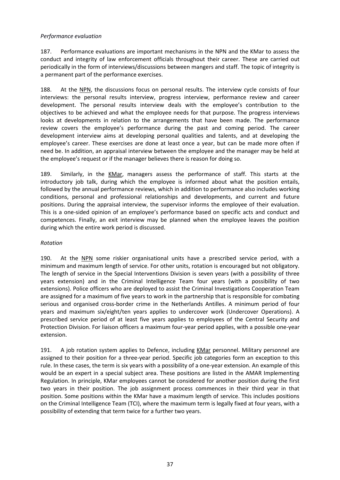#### <span id="page-36-0"></span>*Performance evaluation*

187. Performance evaluations are important mechanisms in the NPN and the KMar to assess the conduct and integrity of law enforcement officials throughout their career. These are carried out periodically in the form of interviews/discussions between mangers and staff. The topic of integrity is a permanent part of the performance exercises.

188. At the NPN, the discussions focus on personal results. The interview cycle consists of four interviews: the personal results interview, progress interview, performance review and career development. The personal results interview deals with the employee's contribution to the objectives to be achieved and what the employee needs for that purpose. The progress interviews looks at developments in relation to the arrangements that have been made. The performance review covers the employee's performance during the past and coming period. The career development interview aims at developing personal qualities and talents, and at developing the employee's career. These exercises are done at least once a year, but can be made more often if need be. In addition, an appraisal interview between the employee and the manager may be held at the employee's request or if the manager believes there is reason for doing so.

189. Similarly, in the KMar, managers assess the performance of staff. This starts at the introductory job talk, during which the employee is informed about what the position entails, followed by the annual performance reviews, which in addition to performance also includes working conditions, personal and professional relationships and developments, and current and future positions. During the appraisal interview, the supervisor informs the employee of their evaluation. This is a one-sided opinion of an employee's performance based on specific acts and conduct and competences. Finally, an exit interview may be planned when the employee leaves the position during which the entire work period is discussed.

#### *Rotation*

190. At the NPN some riskier organisational units have a prescribed service period, with a minimum and maximum length of service. For other units, rotation is encouraged but not obligatory. The length of service in the Special Interventions Division is seven years (with a possibility of three years extension) and in the Criminal Intelligence Team four years (with a possibility of two extensions). Police officers who are deployed to assist the Criminal Investigations Cooperation Team are assigned for a maximum of five years to work in the partnership that is responsible for combating serious and organised cross-border crime in the Netherlands Antilles. A minimum period of four years and maximum six/eight/ten years applies to undercover work (Undercover Operations). A prescribed service period of at least five years applies to employees of the Central Security and Protection Division. For liaison officers a maximum four-year period applies, with a possible one-year extension.

<span id="page-36-1"></span>191. A job rotation system applies to Defence, including KMar personnel. Military personnel are assigned to their position for a three-year period. Specific job categories form an exception to this rule. In these cases, the term is six years with a possibility of a one-year extension. An example of this would be an expert in a special subject area. These positions are listed in the AMAR Implementing Regulation. In principle, KMar employees cannot be considered for another position during the first two years in their position. The job assignment process commences in their third year in that position. Some positions within the KMar have a maximum length of service. This includes positions on the Criminal Intelligence Team (TCI), where the maximum term is legally fixed at four years, with a possibility of extending that term twice for a further two years.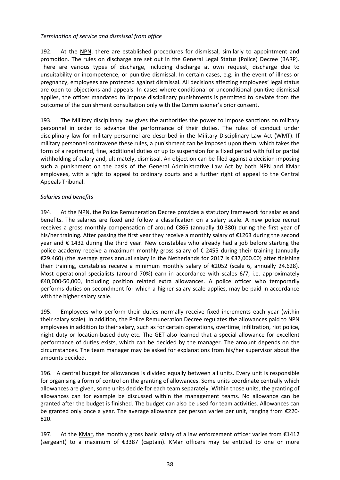#### *Termination of service and dismissal from office*

192. At the NPN, there are established procedures for dismissal, similarly to appointment and promotion. The rules on discharge are set out in the General Legal Status (Police) Decree (BARP). There are various types of discharge, including discharge at own request, discharge due to unsuitability or incompetence, or punitive dismissal. In certain cases, e.g. in the event of illness or pregnancy, employees are protected against dismissal. All decisions affecting employees' legal status are open to objections and appeals. In cases where conditional or unconditional punitive dismissal applies, the officer mandated to impose disciplinary punishments is permitted to deviate from the outcome of the punishment consultation only with the Commissioner's prior consent.

193. The Military disciplinary law gives the authorities the power to impose sanctions on military personnel in order to advance the performance of their duties. The rules of conduct under disciplinary law for military personnel are described in the Military Disciplinary Law Act (WMT). If military personnel contravene these rules, a punishment can be imposed upon them, which takes the form of a reprimand, fine, additional duties or up to suspension for a fixed period with full or partial withholding of salary and, ultimately, dismissal. An objection can be filed against a decision imposing such a punishment on the basis of the General Administrative Law Act by both NPN and KMar employees, with a right to appeal to ordinary courts and a further right of appeal to the Central Appeals Tribunal.

#### <span id="page-37-0"></span>*Salaries and benefits*

194. At the NPN, the Police Remuneration Decree provides a statutory framework for salaries and benefits. The salaries are fixed and follow a classification on a salary scale. A new police recruit receives a gross monthly compensation of around €865 (annually 10.380) during the first year of his/her training. After passing the first year they receive a monthly salary of €1263 during the second year and € 1432 during the third year. New constables who already had a job before starting the police academy receive a maximum monthly gross salary of € 2455 during their training (annually €29.460) (the average gross annual salary in the Netherlands for 2017 is €37,000.00) after finishing their training, constables receive a minimum monthly salary of €2052 (scale 6, annually 24.628). Most operational specialists (around 70%) earn in accordance with scales 6/7, i.e. approximately €40,000-50,000, including position related extra allowances. A police officer who temporarily performs duties on secondment for which a higher salary scale applies, may be paid in accordance with the higher salary scale.

195. Employees who perform their duties normally receive fixed increments each year (within their salary scale). In addition, the Police Remuneration Decree regulates the allowances paid to NPN employees in addition to their salary, such as for certain operations, overtime, infiltration, riot police, night duty or location-based duty etc. The GET also learned that a special allowance for excellent performance of duties exists, which can be decided by the manager. The amount depends on the circumstances. The team manager may be asked for explanations from his/her supervisor about the amounts decided.

196. A central budget for allowances is divided equally between all units. Every unit is responsible for organising a form of control on the granting of allowances. Some units coordinate centrally which allowances are given, some units decide for each team separately. Within those units, the granting of allowances can for example be discussed within the management teams. No allowance can be granted after the budget is finished. The budget can also be used for team activities. Allowances can be granted only once a year. The average allowance per person varies per unit, ranging from €220- 820.

197. At the KMar, the monthly gross basic salary of a law enforcement officer varies from €1412 (sergeant) to a maximum of €3387 (captain). KMar officers may be entitled to one or more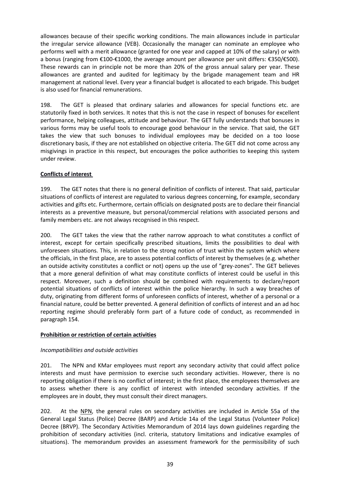allowances because of their specific working conditions. The main allowances include in particular the irregular service allowance (VEB). Occasionally the manager can nominate an employee who performs well with a merit allowance (granted for one year and capped at 10% of the salary) or with a bonus (ranging from €100-€1000, the average amount per allowance per unit differs: €350/€500). These rewards can in principle not be more than 20% of the gross annual salary per year. These allowances are granted and audited for legitimacy by the brigade management team and HR management at national level. Every year a financial budget is allocated to each brigade. This budget is also used for financial remunerations.

198. The GET is pleased that ordinary salaries and allowances for special functions etc. are statutorily fixed in both services. It notes that this is not the case in respect of bonuses for excellent performance, helping colleagues, attitude and behaviour. The GET fully understands that bonuses in various forms may be useful tools to encourage good behaviour in the service. That said, the GET takes the view that such bonuses to individual employees may be decided on a too loose discretionary basis, if they are not established on objective criteria. The GET did not come across any misgivings in practice in this respect, but encourages the police authorities to keeping this system under review.

#### <span id="page-38-0"></span>**Conflicts of interest**

199. The GET notes that there is no general definition of conflicts of interest. That said, particular situations of conflicts of interest are regulated to various degrees concerning, for example, secondary activities and gifts etc. Furthermore, certain officials on designated posts are to declare their financial interests as a preventive measure, but personal/commercial relations with associated persons and family members etc. are not always recognised in this respect.

200. The GET takes the view that the rather narrow approach to what constitutes a conflict of interest, except for certain specifically prescribed situations, limits the possibilities to deal with unforeseen situations. This, in relation to the strong notion of trust within the system which where the officials, in the first place, are to assess potential conflicts of interest by themselves (e.g. whether an outside activity constitutes a conflict or not) opens up the use of "grey-zones". The GET believes that a more general definition of what may constitute conflicts of interest could be useful in this respect. Moreover, such a definition should be combined with requirements to declare/report potential situations of conflicts of interest within the police hierarchy. In such a way breaches of duty, originating from different forms of unforeseen conflicts of interest, whether of a personal or a financial nature, could be better prevented. A general definition of conflicts of interest and an ad hoc reporting regime should preferably form part of a future code of conduct, as recommended in paragraph 154.

#### <span id="page-38-1"></span>**Prohibition or restriction of certain activities**

#### *Incompatibilities and outside activities*

201. The NPN and KMar employees must report any secondary activity that could affect police interests and must have permission to exercise such secondary activities. However, there is no reporting obligation if there is no conflict of interest; in the first place, the employees themselves are to assess whether there is any conflict of interest with intended secondary activities. If the employees are in doubt, they must consult their direct managers.

202. At the NPN, the general rules on secondary activities are included in Article 55a of the General Legal Status (Police) Decree (BARP) and Article 14a of the Legal Status (Volunteer Police) Decree (BRVP). The Secondary Activities Memorandum of 2014 lays down guidelines regarding the prohibition of secondary activities (incl. criteria, statutory limitations and indicative examples of situations). The memorandum provides an assessment framework for the permissibility of such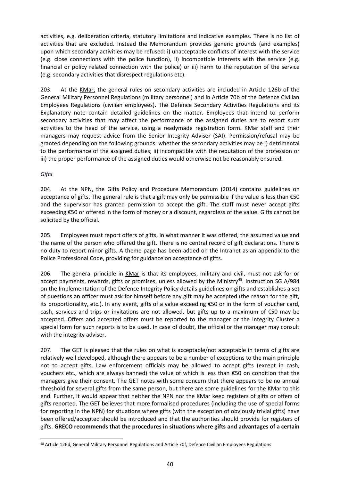activities, e.g. deliberation criteria, statutory limitations and indicative examples. There is no list of activities that are excluded. Instead the Memorandum provides generic grounds (and examples) upon which secondary activities may be refused: i) unacceptable conflicts of interest with the service (e.g. close connections with the police function), ii) incompatible interests with the service (e.g. financial or policy related connection with the police) or iii) harm to the reputation of the service (e.g. secondary activities that disrespect regulations etc).

203. At the KMar, the general rules on secondary activities are included in Article 126b of the General Military Personnel Regulations (military personnel) and in Article 70b of the Defence Civilian Employees Regulations (civilian employees). The Defence Secondary Activities Regulations and its Explanatory note contain detailed guidelines on the matter. Employees that intend to perform secondary activities that may affect the performance of the assigned duties are to report such activities to the head of the service, using a readymade registration form. KMar staff and their managers may request advice from the Senior Integrity Adviser (SAI). Permission/refusal may be granted depending on the following grounds: whether the secondary activities may be i) detrimental to the performance of the assigned duties; ii) incompatible with the reputation of the profession or iii) the proper performance of the assigned duties would otherwise not be reasonably ensured.

#### *Gifts*

 $\overline{\phantom{a}}$ 

204. At the NPN, the Gifts Policy and Procedure Memorandum (2014) contains guidelines on acceptance of gifts. The general rule is that a gift may only be permissible if the value is less than €50 and the supervisor has granted permission to accept the gift. The staff must never accept gifts exceeding €50 or offered in the form of money or a discount, regardless of the value. Gifts cannot be solicited by the official.

205. Employees must report offers of gifts, in what manner it was offered, the assumed value and the name of the person who offered the gift. There is no central record of gift declarations. There is no duty to report minor gifts. A theme page has been added on the Intranet as an appendix to the Police Professional Code, providing for guidance on acceptance of gifts.

206. The general principle in KMar is that its employees, military and civil, must not ask for or accept payments, rewards, gifts or promises, unless allowed by the Ministry<sup>48</sup>. Instruction SG A/984 on the Implementation of the Defence Integrity Policy details guidelines on gifts and establishes a set of questions an officer must ask for himself before any gift may be accepted (the reason for the gift, its proportionality, etc.). In any event, gifts of a value exceeding €50 or in the form of voucher card, cash, services and trips or invitations are not allowed, but gifts up to a maximum of €50 may be accepted. Offers and accepted offers must be reported to the manager or the Integrity Cluster a special form for such reports is to be used. In case of doubt, the official or the manager may consult with the integrity adviser.

207. The GET is pleased that the rules on what is acceptable/not acceptable in terms of gifts are relatively well developed, although there appears to be a number of exceptions to the main principle not to accept gifts. Law enforcement officials may be allowed to accept gifts (except in cash, vouchers etc., which are always banned) the value of which is less than €50 on condition that the managers give their consent. The GET notes with some concern that there appears to be no annual threshold for several gifts from the same person, but there are some guidelines for the KMar to this end. Further, it would appear that neither the NPN nor the KMar keep registers of gifts or offers of gifts reported. The GET believes that more formalised procedures (including the use of special forms for reporting in the NPN) for situations where gifts (with the exception of obviously trivial gifts) have been offered/accepted should be introduced and that the authorities should provide for registers of gifts. **GRECO recommends that the procedures in situations where gifts and advantages of a certain** 

<sup>48</sup> Article 126d, General Military Personnel Regulations and Article 70f, Defence Civilian Employees Regulations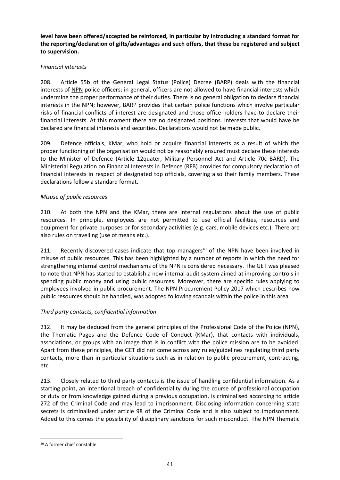**level have been offered/accepted be reinforced, in particular by introducing a standard format for the reporting/declaration of gifts/advantages and such offers, that these be registered and subject to supervision.** 

#### *Financial interests*

208. Article 55b of the General Legal Status (Police) Decree (BARP) deals with the financial interests of NPN police officers; in general, officers are not allowed to have financial interests which undermine the proper performance of their duties. There is no general obligation to declare financial interests in the NPN; however, BARP provides that certain police functions which involve particular risks of financial conflicts of interest are designated and those office holders have to declare their financial interests. At this moment there are no designated positions. Interests that would have be declared are financial interests and securities. Declarations would not be made public.

209. Defence officials, KMar, who hold or acquire financial interests as a result of which the proper functioning of the organisation would not be reasonably ensured must declare these interests to the Minister of Defence (Article 12quater, Military Personnel Act and Article 70c BARD). The Ministerial Regulation on Financial Interests in Defence (RFB) provides for compulsory declaration of financial interests in respect of designated top officials, covering also their family members. These declarations follow a standard format.

#### *Misuse of public resources*

210. At both the NPN and the KMar, there are internal regulations about the use of public resources. In principle, employees are not permitted to use official facilities, resources and equipment for private purposes or for secondary activities (e.g. cars, mobile devices etc.). There are also rules on travelling (use of means etc.).

211. Recently discovered cases indicate that top managers<sup>49</sup> of the NPN have been involved in misuse of public resources. This has been highlighted by a number of reports in which the need for strengthening internal control mechanisms of the NPN is considered necessary. The GET was pleased to note that NPN has started to establish a new internal audit system aimed at improving controls in spending public money and using public resources. Moreover, there are specific rules applying to employees involved in public procurement. The NPN Procurement Policy 2017 which describes how public resources should be handled, was adopted following scandals within the police in this area.

#### *Third party contacts, confidential information*

212. It may be deduced from the general principles of the Professional Code of the Police (NPN), the Thematic Pages and the Defence Code of Conduct (KMar), that contacts with individuals, associations, or groups with an image that is in conflict with the police mission are to be avoided. Apart from these principles, the GET did not come across any rules/guidelines regulating third party contacts, more than in particular situations such as in relation to public procurement, contracting, etc.

213. Closely related to third party contacts is the issue of handling confidential information. As a starting point, an intentional breach of confidentiality during the course of professional occupation or duty or from knowledge gained during a previous occupation, is criminalised according to article 272 of the Criminal Code and may lead to imprisonment. Disclosing information concerning state secrets is criminalised under article 98 of the Criminal Code and is also subject to imprisonment. Added to this comes the possibility of disciplinary sanctions for such misconduct. The NPN Thematic

 $\overline{\phantom{a}}$ 

<sup>49</sup> A former chief constable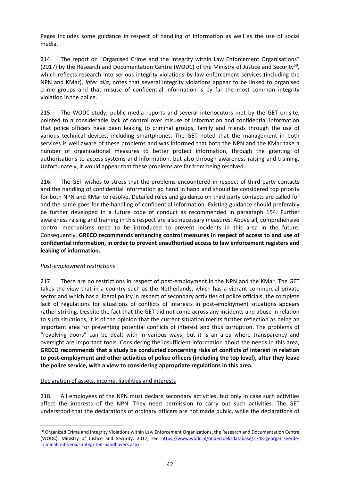Pages includes some guidance in respect of handling of information as well as the use of social media.

214. The report on "Organised Crime and the Integrity within Law Enforcement Organisations" (2017) by the Research and Documentation Centre (WODC) of the Ministry of Justice and Security<sup>50</sup>, which reflects research into serious integrity violations by law enforcement services (including the NPN and KMar), *inter alia*, notes that several integrity violations appear to be linked to organised crime groups and that misuse of confidential information is by far the most common integrity violation in the police.

215. The WODC study, public media reports and several interlocutors met by the GET on-site, pointed to a considerable lack of control over misuse of information and confidential information that police officers have been leaking to criminal groups, family and friends through the use of various technical devices, including smartphones. The GET noted that the management in both services is well aware of these problems and was informed that both the NPN and the KMar take a number of organisational measures to better protect information, through the granting of authorisations to access systems and information, but also through awareness raising and training. Unfortunately, it would appear that these problems are far from being resolved.

216. The GET wishes to stress that the problems encountered in respect of third party contacts and the handling of confidential information go hand in hand and should be considered top priority for both NPN and KMar to resolve. Detailed rules and guidance on third party contacts are called for and the same goes for the handling of confidential information. Existing guidance should preferably be further developed in a future code of conduct as recommended in paragraph 154. Further awareness raising and training in this respect are also necessary measures. Above all, comprehensive control mechanisms need to be introduced to prevent incidents in this area in the future. Consequently, **GRECO recommends enhancing control measures in respect of access to and use of confidential information, in order to prevent unauthorised access to law enforcement registers and leaking of information.**

#### *Post-employment restrictions*

 $\overline{a}$ 

217. There are no restrictions in respect of post-employment in the NPN and the KMar. The GET takes the view that in a country such as the Netherlands, which has a vibrant commercial private sector and which has a liberal policy in respect of secondary activities of police officials, the complete lack of regulations for situations of conflicts of interests in post-employment situations appears rather striking. Despite the fact that the GET did not come across any incidents and abuse in relation to such situations, it is of the opinion that the current situation merits further reflection as being an important area for preventing potential conflicts of interest and thus corruption. The problems of "revolving doors" can be dealt with in various ways, but it is an area where transparency and oversight are important tools. Considering the insufficient information about the needs in this area, **GRECO recommends that a study be conducted concerning risks of conflicts of interest in relation to post-employment and other activities of police officers (including the top level), after they leave the police service, with a view to considering appropriate regulations in this area.**

#### Declaration of assets, income, liabilities and interests

218. All employees of the NPN must declare secondary activities, but only in case such activities affect the interests of the NPN. They need permission to carry out such activities. The GET understood that the declarations of ordinary officers are not made public, while the declarations of

<sup>&</sup>lt;sup>50</sup> Organized Crime and Integrity Violations within Law Enforcement Organizations, the Research and Documentation Centre (WODC), Ministry of Justice and Security, 2017, see [https://www.wodc.nl/onderzoeksdatabase/2748-georganiseerde](https://www.wodc.nl/onderzoeksdatabase/2748-georganiseerde-criminaliteit-versus-integriteit-handhavers.aspx)[criminaliteit-versus-integriteit-handhavers.aspx](https://www.wodc.nl/onderzoeksdatabase/2748-georganiseerde-criminaliteit-versus-integriteit-handhavers.aspx)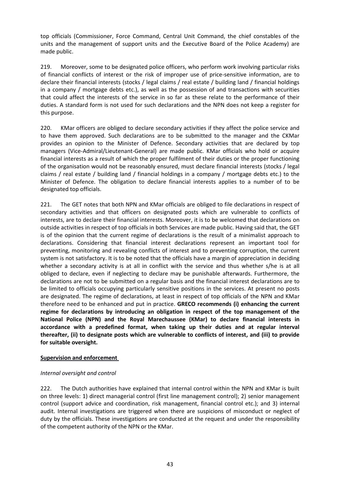top officials (Commissioner, Force Command, Central Unit Command, the chief constables of the units and the management of support units and the Executive Board of the Police Academy) are made public.

219. Moreover, some to be designated police officers, who perform work involving particular risks of financial conflicts of interest or the risk of improper use of price-sensitive information, are to declare their financial interests (stocks / legal claims / real estate / building land / financial holdings in a company / mortgage debts etc.), as well as the possession of and transactions with securities that could affect the interests of the service in so far as these relate to the performance of their duties. A standard form is not used for such declarations and the NPN does not keep a register for this purpose.

220. KMar officers are obliged to declare secondary activities if they affect the police service and to have them approved. Such declarations are to be submitted to the manager and the CKMar provides an opinion to the Minister of Defence. Secondary activities that are declared by top managers (Vice-Admiral/Lieutenant-General) are made public. KMar officials who hold or acquire financial interests as a result of which the proper fulfilment of their duties or the proper functioning of the organisation would not be reasonably ensured, must declare financial interests (stocks / legal claims / real estate / building land / financial holdings in a company / mortgage debts etc.) to the Minister of Defence. The obligation to declare financial interests applies to a number of to be designated top officials.

221. The GET notes that both NPN and KMar officials are obliged to file declarations in respect of secondary activities and that officers on designated posts which are vulnerable to conflicts of interests, are to declare their financial interests. Moreover, it is to be welcomed that declarations on outside activities in respect of top officials in both Services are made public. Having said that, the GET is of the opinion that the current regime of declarations is the result of a minimalist approach to declarations. Considering that financial interest declarations represent an important tool for preventing, monitoring and revealing conflicts of interest and to preventing corruption, the current system is not satisfactory. It is to be noted that the officials have a margin of appreciation in deciding whether a secondary activity is at all in conflict with the service and thus whether s/he is at all obliged to declare, even if neglecting to declare may be punishable afterwards. Furthermore, the declarations are not to be submitted on a regular basis and the financial interest declarations are to be limited to officials occupying particularly sensitive positions in the services. At present no posts are designated. The regime of declarations, at least in respect of top officials of the NPN and KMar therefore need to be enhanced and put in practice. **GRECO recommends (i) enhancing the current regime for declarations by introducing an obligation in respect of the top management of the National Police (NPN) and the Royal Marechaussee (KMar) to declare financial interests in accordance with a predefined format, when taking up their duties and at regular interval thereafter, (ii) to designate posts which are vulnerable to conflicts of interest, and (iii) to provide for suitable oversight.**

#### <span id="page-42-0"></span>**Supervision and enforcement**

#### <span id="page-42-1"></span>*Internal oversight and control*

222. The Dutch authorities have explained that internal control within the NPN and KMar is built on three levels: 1) direct managerial control (first line management control); 2) senior management control (support advice and coordination, risk management, financial control etc.); and 3) internal audit. Internal investigations are triggered when there are suspicions of misconduct or neglect of duty by the officials. These investigations are conducted at the request and under the responsibility of the competent authority of the NPN or the KMar.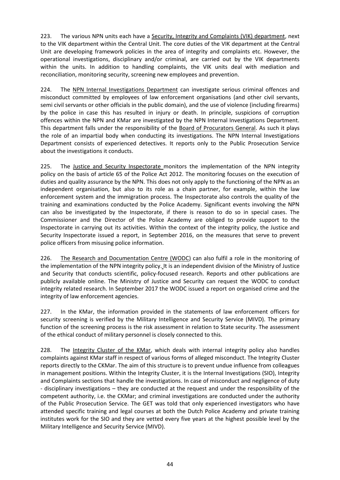223. The various NPN units each have a Security, Integrity and Complaints (VIK) department, next to the VIK department within the Central Unit. The core duties of the VIK department at the Central Unit are developing framework policies in the area of integrity and complaints etc. However, the operational investigations, disciplinary and/or criminal, are carried out by the VIK departments within the units. In addition to handling complaints, the VIK units deal with mediation and reconciliation, monitoring security, screening new employees and prevention.

224. The NPN Internal Investigations Department can investigate serious criminal offences and misconduct committed by employees of law enforcement organisations (and other civil servants, semi civil servants or other officials in the public domain), and the use of violence (including firearms) by the police in case this has resulted in injury or death. In principle, suspicions of corruption offences within the NPN and KMar are investigated by the NPN Internal Investigations Department. This department falls under the responsibility of the Board of Procurators General. As such it plays the role of an impartial body when conducting its investigations. The NPN Internal Investigations Department consists of experienced detectives. It reports only to the Public Prosecution Service about the investigations it conducts.

225. The Justice and Security Inspectorate monitors the implementation of the NPN integrity policy on the basis of article 65 of the Police Act 2012. The monitoring focuses on the execution of duties and quality assurance by the NPN. This does not only apply to the functioning of the NPN as an independent organisation, but also to its role as a chain partner, for example, within the law enforcement system and the immigration process. The Inspectorate also controls the quality of the training and examinations conducted by the Police Academy. Significant events involving the NPN can also be investigated by the Inspectorate, if there is reason to do so in special cases. The Commissioner and the Director of the Police Academy are obliged to provide support to the Inspectorate in carrying out its activities. Within the context of the integrity policy, the Justice and Security Inspectorate issued a report, in September 2016, on the measures that serve to prevent police officers from misusing police information.

226. The Research and Documentation Centre (WODC) can also fulfil a role in the monitoring of the implementation of the NPN integrity policy. It is an independent division of the Ministry of Justice and Security that conducts scientific, policy-focused research. Reports and other publications are publicly available online. The Ministry of Justice and Security can request the WODC to conduct integrity related research. In September 2017 the WODC issued a report on organised crime and the integrity of law enforcement agencies.

227. In the KMar, the information provided in the statements of law enforcement officers for security screening is verified by the Military Intelligence and Security Service (MIVD). The primary function of the screening process is the risk assessment in relation to State security. The assessment of the ethical conduct of military personnel is closely connected to this.

228. The Integrity Cluster of the KMar, which deals with internal integrity policy also handles complaints against KMar staff in respect of various forms of alleged misconduct. The Integrity Cluster reports directly to the CKMar. The aim of this structure is to prevent undue influence from colleagues in management positions. Within the Integrity Cluster, it is the Internal Investigations (SIO), Integrity and Complaints sections that handle the investigations. In case of misconduct and negligence of duty - disciplinary investigations – they are conducted at the request and under the responsibility of the competent authority, i.e. the CKMar; and criminal investigations are conducted under the authority of the Public Prosecution Service. The GET was told that only experienced investigators who have attended specific training and legal courses at both the Dutch Police Academy and private training institutes work for the SIO and they are vetted every five years at the highest possible level by the Military Intelligence and Security Service (MIVD).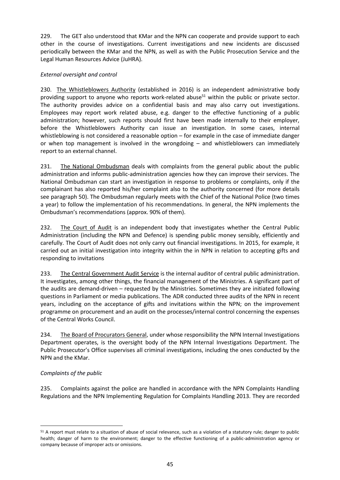229. The GET also understood that KMar and the NPN can cooperate and provide support to each other in the course of investigations. Current investigations and new incidents are discussed periodically between the KMar and the NPN, as well as with the Public Prosecution Service and the Legal Human Resources Advice (JuHRA).

#### <span id="page-44-0"></span>*External oversight and control*

230. [The Whistleblowers](https://huisvoorklokkenluiders.nl/whistleblowers-authority-huis-voor-klokkenluiders-english/) Authority (established in 2016) is an independent administrative body providing support to anyone who reports work-related abuse<sup>51</sup> within the public or private sector. The authority provides advice on a confidential basis and may also carry out investigations. Employees may report work related abuse, e.g. danger to the effective functioning of a public administration; however, such reports should first have been made internally to their employer, before the Whistleblowers Authority can issue an investigation. In some cases, internal whistleblowing is not considered a reasonable option – for example in the case of immediate danger or when top management is involved in the wrongdoing – and whistleblowers can immediately report to an external channel.

231. The National Ombudsman deals with complaints from the general public about the public administration and informs public-administration agencies how they can improve their services. The National Ombudsman can start an investigation in response to problems or complaints, only if the complainant has also reported his/her complaint also to the authority concerned (for more details see paragraph 50). The Ombudsman regularly meets with the Chief of the National Police (two times a year) to follow the implementation of his recommendations. In general, the NPN implements the Ombudsman's recommendations (approx. 90% of them).

232. The Court of Audit is an independent body that investigates whether the Central Public Administration (including the NPN and Defence) is spending public money sensibly, efficiently and carefully. The Court of Audit does not only carry out financial investigations. In 2015, for example, it carried out an initial investigation into integrity within the in NPN in relation to accepting gifts and responding to invitations

233. The Central Government Audit Service is the internal auditor of central public administration. It investigates, among other things, the financial management of the Ministries. A significant part of the audits are demand-driven – requested by the Ministries. Sometimes they are initiated following questions in Parliament or media publications. The ADR conducted three audits of the NPN in recent years, including on the acceptance of gifts and invitations within the NPN; on the improvement programme on procurement and an audit on the processes/internal control concerning the expenses of the Central Works Council.

234. The Board of Procurators General, under whose responsibility the NPN Internal Investigations Department operates, is the oversight body of the NPN Internal Investigations Department. The Public Prosecutor's Office supervises all criminal investigations, including the ones conducted by the NPN and the KMar.

#### <span id="page-44-1"></span>*Complaints of the public*

 $\overline{a}$ 

235. Complaints against the police are handled in accordance with the NPN Complaints Handling Regulations and the NPN Implementing Regulation for Complaints Handling 2013. They are recorded

<sup>51</sup> A report must relate to a situation of abuse of social relevance, such as a violation of a statutory rule; danger to public health; danger of harm to the environment; danger to the effective functioning of a public-administration agency or company because of improper acts or omissions.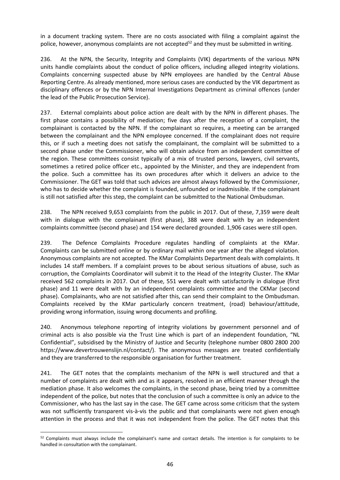in a document tracking system. There are no costs associated with filing a complaint against the police, however, anonymous complaints are not accepted<sup>52</sup> and they must be submitted in writing.

236. At the NPN, the Security, Integrity and Complaints (VIK) departments of the various NPN units handle complaints about the conduct of police officers, including alleged integrity violations. Complaints concerning suspected abuse by NPN employees are handled by the Central Abuse Reporting Centre. As already mentioned, more serious cases are conducted by the VIK department as disciplinary offences or by the NPN Internal Investigations Department as criminal offences (under the lead of the Public Prosecution Service).

237. External complaints about police action are dealt with by the NPN in different phases. The first phase contains a possibility of mediation; five days after the reception of a complaint, the complainant is contacted by the NPN. If the complainant so requires, a meeting can be arranged between the complainant and the NPN employee concerned. If the complainant does not require this, or if such a meeting does not satisfy the complainant, the complaint will be submitted to a second phase under the Commissioner, who will obtain advice from an independent committee of the region. These committees consist typically of a mix of trusted persons, lawyers, civil servants, sometimes a retired police officer etc., appointed by the Minister, and they are independent from the police. Such a committee has its own procedures after which it delivers an advice to the Commissioner. The GET was told that such advices are almost always followed by the Commissioner, who has to decide whether the complaint is founded, unfounded or inadmissible. If the complainant is still not satisfied after this step, the complaint can be submitted to the National Ombudsman.

238. The NPN received 9,653 complaints from the public in 2017. Out of these, 7,359 were dealt with in dialogue with the complainant (first phase), 388 were dealt with by an independent complaints committee (second phase) and 154 were declared grounded. 1,906 cases were still open.

239. The Defence Complaints Procedure regulates handling of complaints at the KMar. Complaints can be submitted online or by ordinary mail within one year after the alleged violation. Anonymous complaints are not accepted. The KMar Complaints Department deals with complaints. It includes 14 staff members. If a complaint proves to be about serious situations of abuse, such as corruption, the Complaints Coordinator will submit it to the Head of the Integrity Cluster. The KMar received 562 complaints in 2017. Out of these, 551 were dealt with satisfactorily in dialogue (first phase) and 11 were dealt with by an independent complaints committee and the CKMar (second phase). Complainants, who are not satisfied after this, can send their complaint to the Ombudsman. Complaints received by the KMar particularly concern treatment, (road) behaviour/attitude, providing wrong information, issuing wrong documents and profiling.

240. Anonymous telephone reporting of integrity violations by government personnel and of criminal acts is also possible via the Trust Line which is part of an independent foundation, "NL Confidential", subsidised by the Ministry of Justice and Security (telephone number 0800 2800 200 https://www.devertrouwenslijn.nl/contact/). The anonymous messages are treated confidentially and they are transferred to the responsible organisation for further treatment.

241. The GET notes that the complaints mechanism of the NPN is well structured and that a number of complaints are dealt with and as it appears, resolved in an efficient manner through the mediation phase. It also welcomes the complaints, in the second phase, being tried by a committee independent of the police, but notes that the conclusion of such a committee is only an advice to the Commissioner, who has the last say in the case. The GET came across some criticism that the system was not sufficiently transparent vis-à-vis the public and that complainants were not given enough attention in the process and that it was not independent from the police. The GET notes that this

 $\overline{\phantom{a}}$ 

<sup>52</sup> Complaints must always include the complainant's name and contact details. The intention is for complaints to be handled in consultation with the complainant.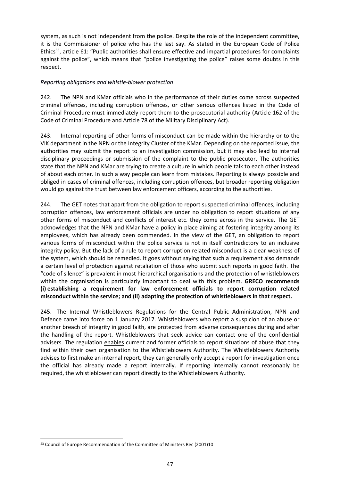system, as such is not independent from the police. Despite the role of the independent committee, it is the Commissioner of police who has the last say. As stated in the European Code of Police Ethics<sup>53</sup>, article 61: "Public authorities shall ensure effective and impartial procedures for complaints against the police", which means that "police investigating the police" raises some doubts in this respect.

#### *Reporting obligations and whistle-blower protection*

242. The NPN and KMar officials who in the performance of their duties come across suspected criminal offences, including corruption offences, or other serious offences listed in the Code of Criminal Procedure must immediately report them to the prosecutorial authority (Article 162 of the Code of Criminal Procedure and Article 78 of the Military Disciplinary Act).

243. Internal reporting of other forms of misconduct can be made within the hierarchy or to the VIK department in the NPN or the Integrity Cluster of the KMar. Depending on the reported issue, the authorities may submit the report to an investigation commission, but it may also lead to internal disciplinary proceedings or submission of the complaint to the public prosecutor. The authorities state that the NPN and KMar are trying to create a culture in which people talk to each other instead of about each other. In such a way people can learn from mistakes. Reporting is always possible and obliged in cases of criminal offences, including corruption offences, but broader reporting obligation would go against the trust between law enforcement officers, according to the authorities.

244. The GET notes that apart from the obligation to report suspected criminal offences, including corruption offences, law enforcement officials are under no obligation to report situations of any other forms of misconduct and conflicts of interest etc. they come across in the service. The GET acknowledges that the NPN and KMar have a policy in place aiming at fostering integrity among its employees, which has already been commended. In the view of the GET, an obligation to report various forms of misconduct within the police service is not in itself contradictory to an inclusive integrity policy. But the lack of a rule to report corruption related misconduct is a clear weakness of the system, which should be remedied. It goes without saying that such a requirement also demands a certain level of protection against retaliation of those who submit such reports in good faith. The "code of silence" is prevalent in most hierarchical organisations and the protection of whistleblowers within the organisation is particularly important to deal with this problem. **GRECO recommends (i) establishing a requirement for law enforcement officials to report corruption related misconduct within the service; and (ii) adapting the protection of whistleblowers in that respect.**

245. The Internal Whistleblowers Regulations for the Central Public Administration, NPN and Defence came into force on 1 January 2017. Whistleblowers who report a suspicion of an abuse or another breach of integrity in good faith, are protected from adverse consequences during and after the handling of the report. Whistleblowers that seek advice can contact one of the confidential advisers. The regulation enables current and former officials to report situations of abuse that they find within their own organisation to the Whistleblowers Authority. The Whistleblowers Authority advises to first make an internal report, they can generally only accept a report for investigation once the official has already made a report internally. If reporting internally cannot reasonably be required, the whistleblower can report directly to the Whistleblowers Authority.

 $\overline{\phantom{a}}$ 

<sup>53</sup> Council of Europe Recommendation of the Committee of Ministers Rec (2001)10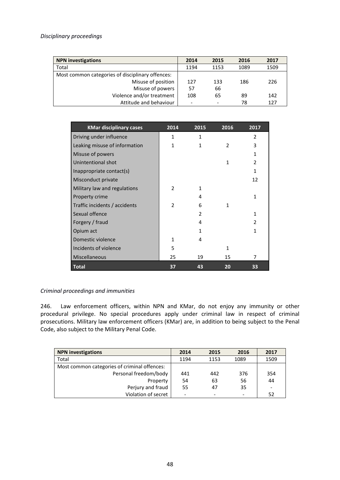#### <span id="page-47-0"></span>*Disciplinary proceedings*

| <b>NPN investigations</b>                        | 2014 | 2015 | 2016 | 2017 |
|--------------------------------------------------|------|------|------|------|
| Total                                            | 1194 | 1153 | 1089 | 1509 |
| Most common categories of disciplinary offences: |      |      |      |      |
| Misuse of position                               | 127  | 133  | 186  | 226  |
| Misuse of powers                                 | 57   | 66   |      |      |
| Violence and/or treatment                        | 108  | 65   | 89   | 142  |
| Attitude and behaviour                           | -    | ۰    | 78   | 127  |
|                                                  |      |      |      |      |

| <b>KMar disciplinary cases</b> | 2014           | 2015 | 2016          | 2017                     |
|--------------------------------|----------------|------|---------------|--------------------------|
| Driving under influence        | 1              | 1    |               | $\mathfrak{p}$           |
| Leaking misuse of information  | 1              | 1    | $\mathcal{P}$ | 3                        |
| Misuse of powers               |                |      |               | 1                        |
| Unintentional shot             |                |      | $\mathbf{1}$  | $\overline{\mathcal{L}}$ |
| Inappropriate contact(s)       |                |      |               | 1                        |
| Misconduct private             |                |      |               | 12                       |
| Military law and regulations   | 2              | 1    |               |                          |
| Property crime                 |                | 4    |               | 1                        |
| Traffic incidents / accidents  | $\overline{2}$ | 6    | 1             |                          |
| Sexual offence                 |                | 2    |               | 1                        |
| Forgery / fraud                |                | 4    |               | $\mathcal{P}$            |
| Opium act                      |                | 1    |               | 1                        |
| Domestic violence              | 1              | 4    |               |                          |
| Incidents of violence          | 5              |      | 1             |                          |
| Miscellaneous                  | 25             | 19   | 15            | 7                        |
| <b>Total</b>                   | 37             | 43   | 20            | 33                       |

#### <span id="page-47-1"></span>*Criminal proceedings and immunities*

246. Law enforcement officers, within NPN and KMar, do not enjoy any immunity or other procedural privilege. No special procedures apply under criminal law in respect of criminal prosecutions. Military law enforcement officers (KMar) are, in addition to being subject to the Penal Code, also subject to the Military Penal Code.

| <b>NPN investigations</b>                    | 2014 | 2015 | 2016 | 2017 |
|----------------------------------------------|------|------|------|------|
| Total                                        | 1194 | 1153 | 1089 | 1509 |
| Most common categories of criminal offences: |      |      |      |      |
| Personal freedom/body                        | 441  | 442  | 376  | 354  |
| Property                                     | 54   | 63   | 56   | 44   |
| Perjury and fraud                            | 55   | 47   | 35   |      |
| Violation of secret                          |      |      |      | 52   |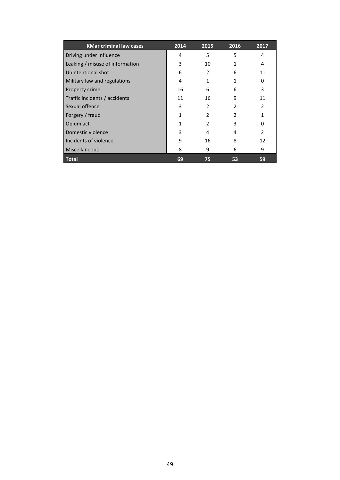| <b>KMar criminal law cases</b>  | 2014 | 2015           | 2016           | 2017                     |
|---------------------------------|------|----------------|----------------|--------------------------|
| Driving under influence         | 4    | 5              | 5              | 4                        |
| Leaking / misuse of information | 3    | 10             | 1              | 4                        |
| Unintentional shot              | 6    | 2              | 6              | 11                       |
| Military law and regulations    | 4    | 1              | 1              | 0                        |
| Property crime                  | 16   | 6              | 6              | 3                        |
| Traffic incidents / accidents   | 11   | 16             | 9              | 11                       |
| Sexual offence                  | 3    | $\mathcal{P}$  | $\mathfrak{p}$ | $\overline{\mathcal{L}}$ |
| Forgery / fraud                 | 1    | $\mathcal{P}$  | $\mathcal{P}$  |                          |
| Opium act                       |      | $\mathfrak{p}$ | 3              | O                        |
| Domestic violence               | 3    | 4              | 4              | $\overline{\phantom{a}}$ |
| Incidents of violence           | 9    | 16             | 8              | 12                       |
| Miscellaneous                   | 8    | 9              | 6              | 9                        |
| <b>Total</b>                    | 69   | 75             | 53             | 59                       |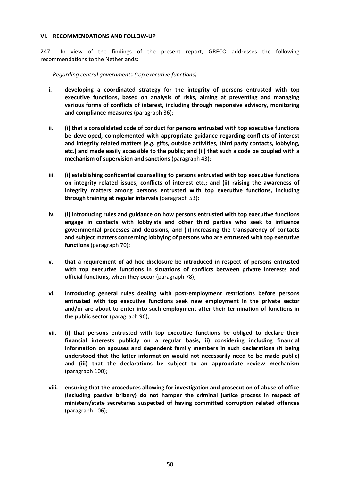#### <span id="page-49-0"></span>**VI. RECOMMENDATIONS AND FOLLOW-UP**

247. In view of the findings of the present report, GRECO addresses the following recommendations to the Netherlands:

#### *Regarding central governments (top executive functions)*

- **i. developing a coordinated strategy for the integrity of persons entrusted with top executive functions, based on analysis of risks, aiming at preventing and managing various forms of conflicts of interest, including through responsive advisory, monitoring and compliance measures** (paragraph 36);
- **ii. (i) that a consolidated code of conduct for persons entrusted with top executive functions be developed, complemented with appropriate guidance regarding conflicts of interest and integrity related matters (e.g. gifts, outside activities, third party contacts, lobbying, etc.) and made easily accessible to the public; and (ii) that such a code be coupled with a mechanism of supervision and sanctions** (paragraph 43);
- **iii. (i) establishing confidential counselling to persons entrusted with top executive functions on integrity related issues, conflicts of interest etc.; and (ii) raising the awareness of integrity matters among persons entrusted with top executive functions, including through training at regular intervals** (paragraph 53);
- **iv. (i) introducing rules and guidance on how persons entrusted with top executive functions engage in contacts with lobbyists and other third parties who seek to influence governmental processes and decisions, and (ii) increasing the transparency of contacts and subject matters concerning lobbying of persons who are entrusted with top executive functions** (paragraph 70);
- **v. that a requirement of ad hoc disclosure be introduced in respect of persons entrusted with top executive functions in situations of conflicts between private interests and official functions, when they occur** (paragraph 78);
- **vi. introducing general rules dealing with post-employment restrictions before persons entrusted with top executive functions seek new employment in the private sector and/or are about to enter into such employment after their termination of functions in the public sector** (paragraph 96);
- **vii. (i) that persons entrusted with top executive functions be obliged to declare their financial interests publicly on a regular basis; ii) considering including financial information on spouses and dependent family members in such declarations (it being understood that the latter information would not necessarily need to be made public) and (iii) that the declarations be subject to an appropriate review mechanism** (paragraph 100);
- **viii. ensuring that the procedures allowing for investigation and prosecution of abuse of office (including passive bribery) do not hamper the criminal justice process in respect of ministers/state secretaries suspected of having committed corruption related offences**  (paragraph 106);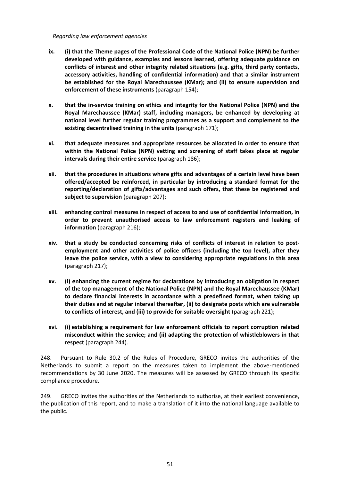#### *Regarding law enforcement agencies*

- **ix. (i) that the Theme pages of the Professional Code of the National Police (NPN) be further developed with guidance, examples and lessons learned, offering adequate guidance on conflicts of interest and other integrity related situations (e.g. gifts, third party contacts, accessory activities, handling of confidential information) and that a similar instrument be established for the Royal Marechaussee (KMar); and (ii) to ensure supervision and enforcement of these instruments** (paragraph 154);
- **x. that the in-service training on ethics and integrity for the National Police (NPN) and the Royal Marechaussee (KMar) staff, including managers, be enhanced by developing at national level further regular training programmes as a support and complement to the existing decentralised training in the units** (paragraph 171);
- **xi. that adequate measures and appropriate resources be allocated in order to ensure that within the National Police (NPN) vetting and screening of staff takes place at regular intervals during their entire service** (paragraph 186);
- **xii. that the procedures in situations where gifts and advantages of a certain level have been offered/accepted be reinforced, in particular by introducing a standard format for the reporting/declaration of gifts/advantages and such offers, that these be registered and subject to supervision** (paragraph 207);
- **xiii. enhancing control measures in respect of access to and use of confidential information, in order to prevent unauthorised access to law enforcement registers and leaking of information** (paragraph 216);
- **xiv. that a study be conducted concerning risks of conflicts of interest in relation to postemployment and other activities of police officers (including the top level), after they leave the police service, with a view to considering appropriate regulations in this area** (paragraph 217);
- **xv. (i) enhancing the current regime for declarations by introducing an obligation in respect of the top management of the National Police (NPN) and the Royal Marechaussee (KMar) to declare financial interests in accordance with a predefined format, when taking up their duties and at regular interval thereafter, (ii) to designate posts which are vulnerable to conflicts of interest, and (iii) to provide for suitable oversight** (paragraph 221);
- **xvi. (i) establishing a requirement for law enforcement officials to report corruption related misconduct within the service; and (ii) adapting the protection of whistleblowers in that respect** (paragraph 244).

248. Pursuant to Rule 30.2 of the Rules of Procedure, GRECO invites the authorities of the Netherlands to submit a report on the measures taken to implement the above-mentioned recommendations by 30 June 2020. The measures will be assessed by GRECO through its specific compliance procedure.

249. GRECO invites the authorities of the Netherlands to authorise, at their earliest convenience, the publication of this report, and to make a translation of it into the national language available to the public.